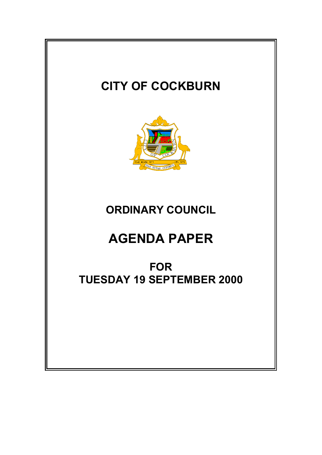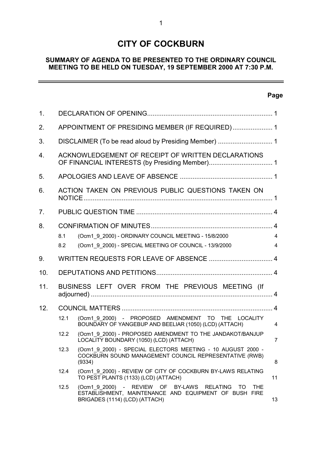# **CITY OF COCKBURN**

## **SUMMARY OF AGENDA TO BE PRESENTED TO THE ORDINARY COUNCIL MEETING TO BE HELD ON TUESDAY, 19 SEPTEMBER 2000 AT 7:30 P.M.**

# **Page**

 $\overline{a}$ 

| 1 <sub>1</sub> |                                                    |                                                                                                                                                             |                                  |
|----------------|----------------------------------------------------|-------------------------------------------------------------------------------------------------------------------------------------------------------------|----------------------------------|
| 2.             | APPOINTMENT OF PRESIDING MEMBER (IF REQUIRED) 1    |                                                                                                                                                             |                                  |
| 3.             |                                                    |                                                                                                                                                             |                                  |
| 4.             | ACKNOWLEDGEMENT OF RECEIPT OF WRITTEN DECLARATIONS |                                                                                                                                                             |                                  |
| 5.             |                                                    |                                                                                                                                                             |                                  |
| 6.             | ACTION TAKEN ON PREVIOUS PUBLIC QUESTIONS TAKEN ON |                                                                                                                                                             |                                  |
| 7.             |                                                    |                                                                                                                                                             |                                  |
| 8.             | 8.1<br>8.2                                         | (Ocm1_9_2000) - ORDINARY COUNCIL MEETING - 15/8/2000<br>(Ocm1 9 2000) - SPECIAL MEETING OF COUNCIL - 13/9/2000                                              | $\overline{4}$<br>$\overline{4}$ |
| 9.             |                                                    |                                                                                                                                                             |                                  |
| 10.            |                                                    |                                                                                                                                                             |                                  |
| 11.            | BUSINESS LEFT OVER FROM THE PREVIOUS MEETING (If   |                                                                                                                                                             |                                  |
| 12.            |                                                    |                                                                                                                                                             |                                  |
|                | 12.1                                               | (Ocm1 9 2000) - PROPOSED AMENDMENT TO THE LOCALITY<br>BOUNDARY OF YANGEBUP AND BEELIAR (1050) (LCD) (ATTACH)                                                | $\overline{4}$                   |
|                | 12.2                                               | (Ocm1 9 2000) - PROPOSED AMENDMENT TO THE JANDAKOT/BANJUP<br>LOCALITY BOUNDARY (1050) (LCD) (ATTACH)                                                        | $\overline{7}$                   |
|                |                                                    | 12.3 (Ocm1_9_2000) - SPECIAL ELECTORS MEETING - 10 AUGUST 2000 -<br>COCKBURN SOUND MANAGEMENT COUNCIL REPRESENTATIVE (RWB)<br>(9334)                        | 8                                |
|                | 12.4                                               | (Ocm1 9 2000) - REVIEW OF CITY OF COCKBURN BY-LAWS RELATING<br>TO PEST PLANTS (1133) (LCD) (ATTACH)                                                         | 11                               |
|                | 12.5                                               | (Ocm1 9 2000) - REVIEW OF BY-LAWS RELATING<br><b>THE</b><br>TO T<br>ESTABLISHMENT, MAINTENANCE AND EQUIPMENT OF BUSH FIRE<br>BRIGADES (1114) (LCD) (ATTACH) | 13                               |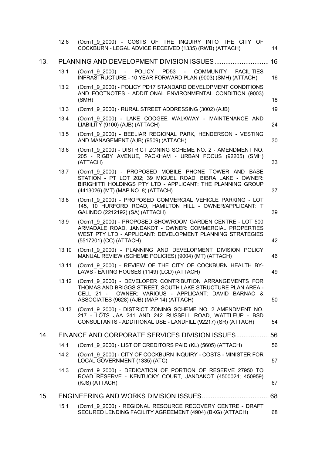|     | 12.6  | (Ocm1 9 2000) - COSTS OF THE INQUIRY INTO THE CITY OF<br>COCKBURN - LEGAL ADVICE RECEIVED (1335) (RWB) (ATTACH)                                                                                                                     | 14 |
|-----|-------|-------------------------------------------------------------------------------------------------------------------------------------------------------------------------------------------------------------------------------------|----|
| 13. |       |                                                                                                                                                                                                                                     | 16 |
|     | 13.1  | (Ocm1 9 2000) - POLICY PD53<br>- COMMUNITY<br><b>FACILITIES</b><br>INFRASTRUCTURE - 10 YEAR FORWARD PLAN (9003) (SMH) (ATTACH)                                                                                                      | 16 |
|     | 13.2  | (Ocm1 9 2000) - POLICY PD17 STANDARD DEVELOPMENT CONDITIONS<br>AND FOOTNOTES - ADDITIONAL ENVIRONMENTAL CONDITION (9003)<br>(SMH)                                                                                                   | 18 |
|     | 13.3  | (Ocm1 9 2000) - RURAL STREET ADDRESSING (3002) (AJB)                                                                                                                                                                                | 19 |
|     | 13.4  | (Ocm1 9 2000) - LAKE COOGEE WALKWAY - MAINTENANCE AND<br>LIABILITY (9100) (AJB) (ATTACH)                                                                                                                                            | 24 |
|     | 13.5  | (Ocm1 9 2000) - BEELIAR REGIONAL PARK, HENDERSON - VESTING<br>AND MANAGEMENT (AJB) (9509) (ATTACH)                                                                                                                                  | 30 |
|     | 13.6  | (Ocm1 9 2000) - DISTRICT ZONING SCHEME NO. 2 - AMENDMENT NO.<br>205 - RIGBY AVENUE, PACKHAM - URBAN FOCUS (92205) (SMH)<br>(ATTACH)                                                                                                 | 33 |
|     | 13.7  | (Ocm1 9 2000) - PROPOSED MOBILE PHONE TOWER AND BASE<br>STATION - PT LOT 202; 39 MIGUEL ROAD, BIBRA LAKE - OWNER:<br>BIRIGHITTI HOLDINGS PTY LTD - APPLICANT: THE PLANNING GROUP<br>(4413026) (MT) (MAP NO. 8) (ATTACH)             | 37 |
|     | 13.8  | (Ocm1 9 2000) - PROPOSED COMMERCIAL VEHICLE PARKING - LOT<br>145, 10 HURFORD ROAD, HAMILTON HILL - OWNER/APPLICANT: T<br>GALINDO (2212192) (SA) (ATTACH)                                                                            | 39 |
|     | 13.9  | (Ocm1 9 2000) - PROPOSED SHOWROOM GARDEN CENTRE - LOT 500<br>ARMADALE ROAD, JANDAKOT - OWNER: COMMERCIAL PROPERTIES<br>WEST PTY LTD - APPLICANT: DEVELOPMENT PLANNING STRATEGIES<br>(5517201) (CC) (ATTACH)                         | 42 |
|     | 13.10 | (Ocm1 9 2000) - PLANNING AND DEVELOPMENT DIVISION POLICY<br>MANUAL REVIEW (SCHEME POLICIES) (9004) (MT) (ATTACH)                                                                                                                    | 46 |
|     | 13.11 | (Ocm1 9 2000) - REVIEW OF THE CITY OF COCKBURN HEALTH BY-<br>LAWS - EATING HOUSES (1149) (LCD) (ATTACH)                                                                                                                             | 49 |
|     |       | 13.12 (Ocm1_9_2000) - DEVELOPER CONTRIBUTION ARRANGEMENTS FOR<br>THOMAS AND BRIGGS STREET, SOUTH LAKE STRUCTURE PLAN AREA -<br>OWNER: VARIOUS - APPLICANT: DAVID BARNAO &<br>CELL 21 -<br>ASSOCIATES (9628) (AJB) (MAP 14) (ATTACH) | 50 |
|     | 13.13 | (Ocm1 9 2000) - DISTRICT ZONING SCHEME NO. 2 AMENDMENT NO.<br>217 - LOTS JAA 241 AND 242 RUSSELL ROAD, WATTLEUP - BSD<br>CONSULTANTS - ADDITIONAL USE - LANDFILL (92217) (SR) (ATTACH)                                              | 54 |
| 14. |       | FINANCE AND CORPORATE SERVICES DIVISION ISSUES                                                                                                                                                                                      | 56 |
|     | 14.1  | (Ocm1 9 2000) - LIST OF CREDITORS PAID (KL) (5605) (ATTACH)                                                                                                                                                                         | 56 |
|     | 14.2  | (Ocm1 9 2000) - CITY OF COCKBURN INQUIRY - COSTS - MINISTER FOR<br>LOCAL GOVERNMENT (1335) (ATC)                                                                                                                                    | 57 |
|     | 14.3  | (Ocm1 9 2000) - DEDICATION OF PORTION OF RESERVE 27950 TO<br>ROAD RESERVE - KENTUCKY COURT, JANDAKOT (4500024; 450959)<br>(KJS) (ATTACH)                                                                                            | 67 |
| 15. |       |                                                                                                                                                                                                                                     | 68 |
|     | 15.1  | (Ocm1_9_2000) - REGIONAL RESOURCE RECOVERY CENTRE - DRAFT<br>SECURED LENDING FACILITY AGREEMENT (4904) (BKG) (ATTACH)                                                                                                               | 68 |
|     |       |                                                                                                                                                                                                                                     |    |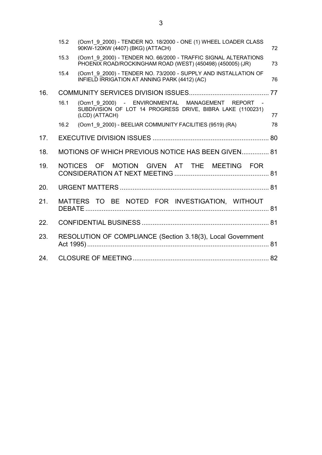|     | 15.2                                                        | (Ocm1 9 2000) - TENDER NO. 18/2000 - ONE (1) WHEEL LOADER CLASS<br>90KW-120KW (4407) (BKG) (ATTACH)                               | 72 |
|-----|-------------------------------------------------------------|-----------------------------------------------------------------------------------------------------------------------------------|----|
|     | 15.3                                                        | (Ocm1 9 2000) - TENDER NO. 66/2000 - TRAFFIC SIGNAL ALTERATIONS<br>PHOENIX ROAD/ROCKINGHAM ROAD (WEST) (450498) (450005) (JR)     | 73 |
|     | 15.4                                                        | (Ocm1 9 2000) - TENDER NO. 73/2000 - SUPPLY AND INSTALLATION OF<br>INFIELD IRRIGATION AT ANNING PARK (4412) (AC)                  | 76 |
| 16. |                                                             |                                                                                                                                   |    |
|     | 16.1                                                        | (Ocm1 9 2000) - ENVIRONMENTAL MANAGEMENT REPORT -<br>SUBDIVISION OF LOT 14 PROGRESS DRIVE, BIBRA LAKE (1100231)<br>(LCD) (ATTACH) | 77 |
|     | 16.2                                                        | (Ocm1_9_2000) - BEELIAR COMMUNITY FACILITIES (9519) (RA)                                                                          | 78 |
| 17. |                                                             |                                                                                                                                   |    |
| 18. |                                                             | MOTIONS OF WHICH PREVIOUS NOTICE HAS BEEN GIVEN 81                                                                                |    |
| 19. |                                                             | NOTICES OF<br>MOTION GIVEN AT THE MEETING FOR                                                                                     |    |
| 20. |                                                             |                                                                                                                                   |    |
| 21. |                                                             | MATTERS TO BE NOTED FOR INVESTIGATION, WITHOUT                                                                                    |    |
| 22. |                                                             |                                                                                                                                   |    |
| 23. | RESOLUTION OF COMPLIANCE (Section 3.18(3), Local Government |                                                                                                                                   |    |
| 24. |                                                             |                                                                                                                                   |    |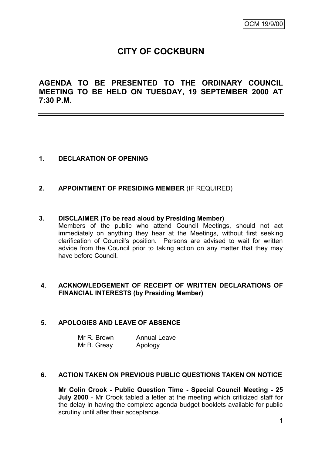# **CITY OF COCKBURN**

**AGENDA TO BE PRESENTED TO THE ORDINARY COUNCIL MEETING TO BE HELD ON TUESDAY, 19 SEPTEMBER 2000 AT 7:30 P.M.**

# **1. DECLARATION OF OPENING**

**2. APPOINTMENT OF PRESIDING MEMBER** (IF REQUIRED)

#### **3. DISCLAIMER (To be read aloud by Presiding Member)**

Members of the public who attend Council Meetings, should not act immediately on anything they hear at the Meetings, without first seeking clarification of Council's position. Persons are advised to wait for written advice from the Council prior to taking action on any matter that they may have before Council.

## **4. ACKNOWLEDGEMENT OF RECEIPT OF WRITTEN DECLARATIONS OF FINANCIAL INTERESTS (by Presiding Member)**

## **5. APOLOGIES AND LEAVE OF ABSENCE**

| Mr R. Brown | <b>Annual Leave</b> |
|-------------|---------------------|
| Mr B. Greay | Apology             |

#### **6. ACTION TAKEN ON PREVIOUS PUBLIC QUESTIONS TAKEN ON NOTICE**

**Mr Colin Crook - Public Question Time - Special Council Meeting - 25 July 2000** - Mr Crook tabled a letter at the meeting which criticized staff for the delay in having the complete agenda budget booklets available for public scrutiny until after their acceptance.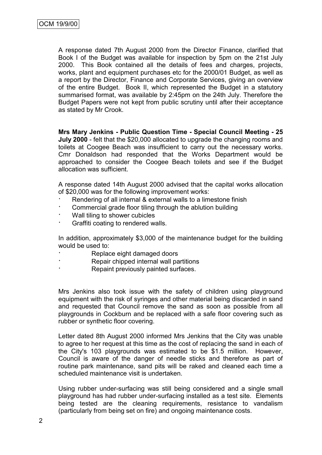A response dated 7th August 2000 from the Director Finance, clarified that Book I of the Budget was available for inspection by 5pm on the 21st July 2000. This Book contained all the details of fees and charges, projects, works, plant and equipment purchases etc for the 2000/01 Budget, as well as a report by the Director, Finance and Corporate Services, giving an overview of the entire Budget. Book II, which represented the Budget in a statutory summarised format, was available by 2:45pm on the 24th July. Therefore the Budget Papers were not kept from public scrutiny until after their acceptance as stated by Mr Crook.

**Mrs Mary Jenkins - Public Question Time - Special Council Meeting - 25 July 2000** - felt that the \$20,000 allocated to upgrade the changing rooms and toilets at Coogee Beach was insufficient to carry out the necessary works. Cmr Donaldson had responded that the Works Department would be approached to consider the Coogee Beach toilets and see if the Budget allocation was sufficient.

A response dated 14th August 2000 advised that the capital works allocation of \$20,000 was for the following improvement works:

- Rendering of all internal & external walls to a limestone finish
- Commercial grade floor tiling through the ablution building
- Wall tiling to shower cubicles
- · Graffiti coating to rendered walls.

In addition, approximately \$3,000 of the maintenance budget for the building would be used to:

- Replace eight damaged doors
- Repair chipped internal wall partitions
- Repaint previously painted surfaces.

Mrs Jenkins also took issue with the safety of children using playground equipment with the risk of syringes and other material being discarded in sand and requested that Council remove the sand as soon as possible from all playgrounds in Cockburn and be replaced with a safe floor covering such as rubber or synthetic floor covering.

Letter dated 8th August 2000 informed Mrs Jenkins that the City was unable to agree to her request at this time as the cost of replacing the sand in each of the City's 103 playgrounds was estimated to be \$1.5 million. However, Council is aware of the danger of needle sticks and therefore as part of routine park maintenance, sand pits will be raked and cleaned each time a scheduled maintenance visit is undertaken.

Using rubber under-surfacing was still being considered and a single small playground has had rubber under-surfacing installed as a test site. Elements being tested are the cleaning requirements, resistance to vandalism (particularly from being set on fire) and ongoing maintenance costs.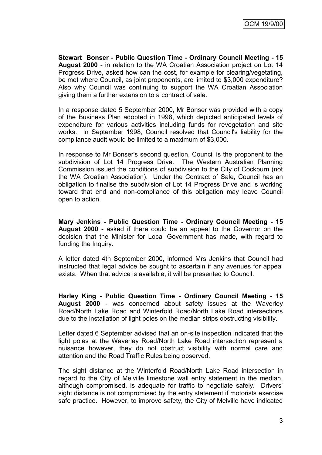**Stewart Bonser - Public Question Time - Ordinary Council Meeting - 15 August 2000** - in relation to the WA Croatian Association project on Lot 14 Progress Drive, asked how can the cost, for example for clearing/vegetating, be met where Council, as joint proponents, are limited to \$3,000 expenditure? Also why Council was continuing to support the WA Croatian Association giving them a further extension to a contract of sale.

In a response dated 5 September 2000, Mr Bonser was provided with a copy of the Business Plan adopted in 1998, which depicted anticipated levels of expenditure for various activities including funds for revegetation and site works. In September 1998, Council resolved that Council's liability for the compliance audit would be limited to a maximum of \$3,000.

In response to Mr Bonser's second question, Council is the proponent to the subdivision of Lot 14 Progress Drive. The Western Australian Planning Commission issued the conditions of subdivision to the City of Cockburn (not the WA Croatian Association). Under the Contract of Sale, Council has an obligation to finalise the subdivision of Lot 14 Progress Drive and is working toward that end and non-compliance of this obligation may leave Council open to action.

**Mary Jenkins - Public Question Time - Ordinary Council Meeting - 15 August 2000** - asked if there could be an appeal to the Governor on the decision that the Minister for Local Government has made, with regard to funding the Inquiry.

A letter dated 4th September 2000, informed Mrs Jenkins that Council had instructed that legal advice be sought to ascertain if any avenues for appeal exists. When that advice is available, it will be presented to Council.

**Harley King - Public Question Time - Ordinary Council Meeting - 15 August 2000** - was concerned about safety issues at the Waverley Road/North Lake Road and Winterfold Road/North Lake Road intersections due to the installation of light poles on the median strips obstructing visibility.

Letter dated 6 September advised that an on-site inspection indicated that the light poles at the Waverley Road/North Lake Road intersection represent a nuisance however, they do not obstruct visibility with normal care and attention and the Road Traffic Rules being observed.

The sight distance at the Winterfold Road/North Lake Road intersection in regard to the City of Melville limestone wall entry statement in the median, although compromised, is adequate for traffic to negotiate safely. Drivers' sight distance is not compromised by the entry statement if motorists exercise safe practice. However, to improve safety, the City of Melville have indicated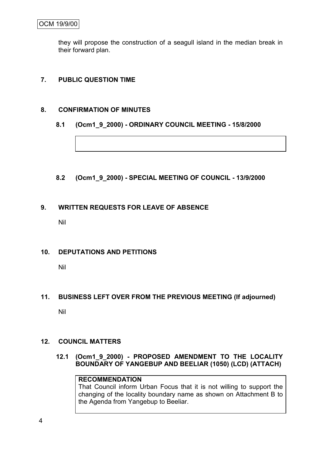they will propose the construction of a seagull island in the median break in their forward plan.

# **7. PUBLIC QUESTION TIME**

## **8. CONFIRMATION OF MINUTES**

## **8.1 (Ocm1\_9\_2000) - ORDINARY COUNCIL MEETING - 15/8/2000**

**8.2 (Ocm1\_9\_2000) - SPECIAL MEETING OF COUNCIL - 13/9/2000**

# **9. WRITTEN REQUESTS FOR LEAVE OF ABSENCE**

Nil

# **10. DEPUTATIONS AND PETITIONS**

Nil

# **11. BUSINESS LEFT OVER FROM THE PREVIOUS MEETING (If adjourned)**

Nil

# **12. COUNCIL MATTERS**

**12.1 (Ocm1\_9\_2000) - PROPOSED AMENDMENT TO THE LOCALITY BOUNDARY OF YANGEBUP AND BEELIAR (1050) (LCD) (ATTACH)**

# **RECOMMENDATION**

That Council inform Urban Focus that it is not willing to support the changing of the locality boundary name as shown on Attachment B to the Agenda from Yangebup to Beeliar.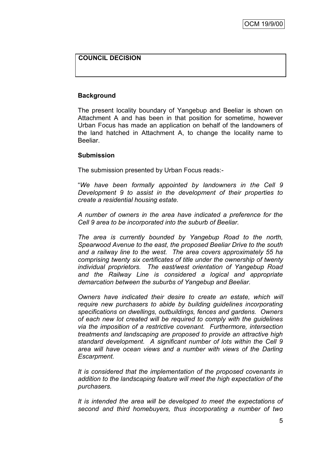## **COUNCIL DECISION**

### **Background**

The present locality boundary of Yangebup and Beeliar is shown on Attachment A and has been in that position for sometime, however Urban Focus has made an application on behalf of the landowners of the land hatched in Attachment A, to change the locality name to Beeliar.

#### **Submission**

The submission presented by Urban Focus reads:-

"*We have been formally appointed by landowners in the Cell 9 Development 9 to assist in the development of their properties to create a residential housing estate.*

*A number of owners in the area have indicated a preference for the Cell 9 area to be incorporated into the suburb of Beeliar.*

*The area is currently bounded by Yangebup Road to the north, Spearwood Avenue to the east, the proposed Beeliar Drive to the south and a railway line to the west. The area covers approximately 55 ha comprising twenty six certificates of title under the ownership of twenty individual proprietors. The east/west orientation of Yangebup Road and the Railway Line is considered a logical and appropriate demarcation between the suburbs of Yangebup and Beeliar.* 

*Owners have indicated their desire to create an estate, which will require new purchasers to abide by building guidelines incorporating specifications on dwellings, outbuildings, fences and gardens. Owners of each new lot created will be required to comply with the guidelines via the imposition of a restrictive covenant. Furthermore, intersection treatments and landscaping are proposed to provide an attractive high standard development. A significant number of lots within the Cell 9 area will have ocean views and a number with views of the Darling Escarpment.*

*It is considered that the implementation of the proposed covenants in addition to the landscaping feature will meet the high expectation of the purchasers.*

*It is intended the area will be developed to meet the expectations of second and third homebuyers, thus incorporating a number of two*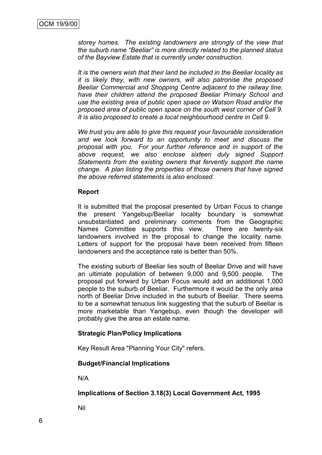*storey homes. The existing landowners are strongly of the view that the suburb name "Beeliar" is more directly related to the planned status of the Bayview Estate that is currently under construction.*

*It is the owners wish that their land be included in the Beeliar locality as it is likely they, with new owners, will also patronise the proposed Beeliar Commercial and Shopping Centre adjacent to the railway line, have their children attend the proposed Beeliar Primary School and use the existing area of public open space on Watson Road and/or the proposed area of public open space on the south west corner of Cell 9. It is also proposed to create a local neighbourhood centre in Cell 9.*

*We trust you are able to give this request your favourable consideration and we look forward to an opportunity to meet and discuss the proposal with you. For your further reference and in support of the above request, we also enclose sixteen duly signed Support Statements from the existing owners that fervently support the name change. A plan listing the properties of those owners that have signed the above referred statements is also enclosed.*

#### **Report**

It is submitted that the proposal presented by Urban Focus to change the present Yangebup/Beeliar locality boundary is somewhat unsubstantiated and preliminary comments from the Geographic Names Committee supports this view. There are twenty-six landowners involved in the proposal to change the locality name. Letters of support for the proposal have been received from fifteen landowners and the acceptance rate is better than 50%.

The existing suburb of Beeliar lies south of Beeliar Drive and will have an ultimate population of between 9,000 and 9,500 people. The proposal put forward by Urban Focus would add an additional 1,000 people to the suburb of Beeliar. Furthermore it would be the only area north of Beeliar Drive included in the suburb of Beeliar. There seems to be a somewhat tenuous link suggesting that the suburb of Beeliar is more marketable than Yangebup, even though the developer will probably give the area an estate name.

#### **Strategic Plan/Policy Implications**

Key Result Area "Planning Your City" refers.

#### **Budget/Financial Implications**

N/A

#### **Implications of Section 3.18(3) Local Government Act, 1995**

Nil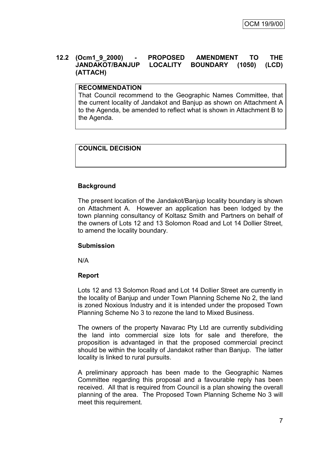#### **12.2 (Ocm1\_9\_2000) - PROPOSED AMENDMENT TO THE JANDAKOT/BANJUP LOCALITY BOUNDARY (1050) (LCD) (ATTACH)**

## **RECOMMENDATION**

That Council recommend to the Geographic Names Committee, that the current locality of Jandakot and Banjup as shown on Attachment A to the Agenda, be amended to reflect what is shown in Attachment B to the Agenda.

# **COUNCIL DECISION**

## **Background**

The present location of the Jandakot/Banjup locality boundary is shown on Attachment A. However an application has been lodged by the town planning consultancy of Koltasz Smith and Partners on behalf of the owners of Lots 12 and 13 Solomon Road and Lot 14 Dollier Street, to amend the locality boundary.

#### **Submission**

N/A

#### **Report**

Lots 12 and 13 Solomon Road and Lot 14 Dollier Street are currently in the locality of Banjup and under Town Planning Scheme No 2, the land is zoned Noxious Industry and it is intended under the proposed Town Planning Scheme No 3 to rezone the land to Mixed Business.

The owners of the property Navarac Pty Ltd are currently subdividing the land into commercial size lots for sale and therefore, the proposition is advantaged in that the proposed commercial precinct should be within the locality of Jandakot rather than Banjup. The latter locality is linked to rural pursuits.

A preliminary approach has been made to the Geographic Names Committee regarding this proposal and a favourable reply has been received. All that is required from Council is a plan showing the overall planning of the area. The Proposed Town Planning Scheme No 3 will meet this requirement.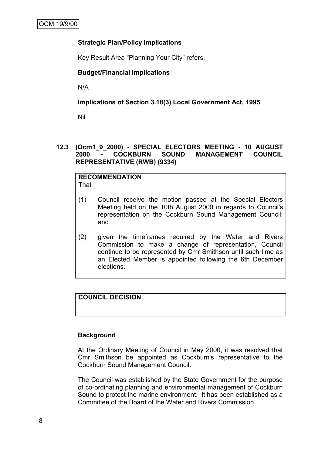## **Strategic Plan/Policy Implications**

Key Result Area "Planning Your City" refers.

### **Budget/Financial Implications**

N/A

### **Implications of Section 3.18(3) Local Government Act, 1995**

Nil

## **12.3 (Ocm1\_9\_2000) - SPECIAL ELECTORS MEETING - 10 AUGUST 2000 - COCKBURN SOUND MANAGEMENT COUNCIL REPRESENTATIVE (RWB) (9334)**

#### **RECOMMENDATION** That :

- (1) Council receive the motion passed at the Special Electors Meeting held on the 10th August 2000 in regards to Council's representation on the Cockburn Sound Management Council; and
- (2) given the timeframes required by the Water and Rivers Commission to make a change of representation, Council continue to be represented by Cmr Smithson until such time as an Elected Member is appointed following the 6th December elections.

# **COUNCIL DECISION**

# **Background**

At the Ordinary Meeting of Council in May 2000, it was resolved that Cmr Smithson be appointed as Cockburn's representative to the Cockburn Sound Management Council.

The Council was established by the State Government for the purpose of co-ordinating planning and environmental management of Cockburn Sound to protect the marine environment. It has been established as a Committee of the Board of the Water and Rivers Commission.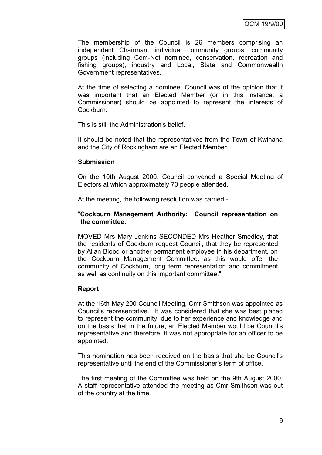The membership of the Council is 26 members comprising an independent Chairman, individual community groups, community groups (including Com-Net nominee, conservation, recreation and fishing groups), industry and Local, State and Commonwealth Government representatives.

At the time of selecting a nominee, Council was of the opinion that it was important that an Elected Member (or in this instance, a Commissioner) should be appointed to represent the interests of **Cockburn** 

This is still the Administration's belief.

It should be noted that the representatives from the Town of Kwinana and the City of Rockingham are an Elected Member.

#### **Submission**

On the 10th August 2000, Council convened a Special Meeting of Electors at which approximately 70 people attended.

At the meeting, the following resolution was carried:-

#### "**Cockburn Management Authority: Council representation on the committee.**

MOVED Mrs Mary Jenkins SECONDED Mrs Heather Smedley, that the residents of Cockburn request Council, that they be represented by Allan Blood or another permanent employee in his department, on the Cockburn Management Committee, as this would offer the community of Cockburn, long term representation and commitment as well as continuity on this important committee."

#### **Report**

At the 16th May 200 Council Meeting, Cmr Smithson was appointed as Council's representative. It was considered that she was best placed to represent the community, due to her experience and knowledge and on the basis that in the future, an Elected Member would be Council's representative and therefore, it was not appropriate for an officer to be appointed.

This nomination has been received on the basis that she be Council's representative until the end of the Commissioner's term of office.

The first meeting of the Committee was held on the 9th August 2000. A staff representative attended the meeting as Cmr Smithson was out of the country at the time.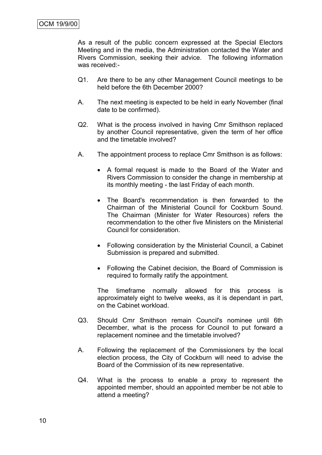As a result of the public concern expressed at the Special Electors Meeting and in the media, the Administration contacted the Water and Rivers Commission, seeking their advice. The following information was received:-

- Q1. Are there to be any other Management Council meetings to be held before the 6th December 2000?
- A. The next meeting is expected to be held in early November (final date to be confirmed).
- Q2. What is the process involved in having Cmr Smithson replaced by another Council representative, given the term of her office and the timetable involved?
- A. The appointment process to replace Cmr Smithson is as follows:
	- A formal request is made to the Board of the Water and Rivers Commission to consider the change in membership at its monthly meeting - the last Friday of each month.
	- The Board's recommendation is then forwarded to the Chairman of the Ministerial Council for Cockburn Sound. The Chairman (Minister for Water Resources) refers the recommendation to the other five Ministers on the Ministerial Council for consideration.
	- Following consideration by the Ministerial Council, a Cabinet Submission is prepared and submitted.
	- Following the Cabinet decision, the Board of Commission is required to formally ratify the appointment.

The timeframe normally allowed for this process is approximately eight to twelve weeks, as it is dependant in part, on the Cabinet workload.

- Q3. Should Cmr Smithson remain Council's nominee until 6th December, what is the process for Council to put forward a replacement nominee and the timetable involved?
- A. Following the replacement of the Commissioners by the local election process, the City of Cockburn will need to advise the Board of the Commission of its new representative.
- Q4. What is the process to enable a proxy to represent the appointed member, should an appointed member be not able to attend a meeting?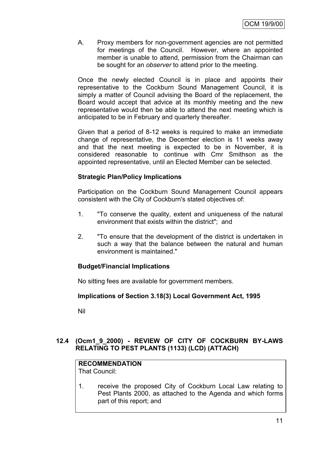A. Proxy members for non-government agencies are not permitted for meetings of the Council. However, where an appointed member is unable to attend, permission from the Chairman can be sought for an *observer* to attend prior to the meeting.

Once the newly elected Council is in place and appoints their representative to the Cockburn Sound Management Council, it is simply a matter of Council advising the Board of the replacement, the Board would accept that advice at its monthly meeting and the new representative would then be able to attend the next meeting which is anticipated to be in February and quarterly thereafter.

Given that a period of 8-12 weeks is required to make an immediate change of representative, the December election is 11 weeks away and that the next meeting is expected to be in November, it is considered reasonable to continue with Cmr Smithson as the appointed representative, until an Elected Member can be selected.

# **Strategic Plan/Policy Implications**

Participation on the Cockburn Sound Management Council appears consistent with the City of Cockburn's stated objectives of:

- 1. "To conserve the quality, extent and uniqueness of the natural environment that exists within the district"; and
- 2. "To ensure that the development of the district is undertaken in such a way that the balance between the natural and human environment is maintained."

# **Budget/Financial Implications**

No sitting fees are available for government members.

# **Implications of Section 3.18(3) Local Government Act, 1995**

Nil

# **12.4 (Ocm1\_9\_2000) - REVIEW OF CITY OF COCKBURN BY-LAWS RELATING TO PEST PLANTS (1133) (LCD) (ATTACH)**

# **RECOMMENDATION**

That Council:

1. receive the proposed City of Cockburn Local Law relating to Pest Plants 2000, as attached to the Agenda and which forms part of this report; and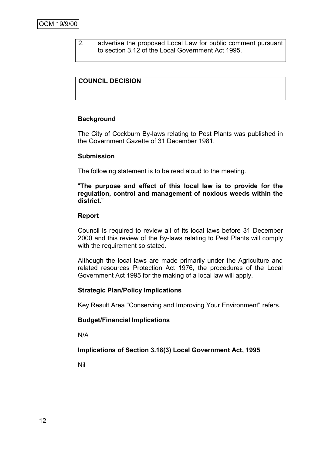2. advertise the proposed Local Law for public comment pursuant to section 3.12 of the Local Government Act 1995.

## **COUNCIL DECISION**

#### **Background**

The City of Cockburn By-laws relating to Pest Plants was published in the Government Gazette of 31 December 1981.

#### **Submission**

The following statement is to be read aloud to the meeting.

"**The purpose and effect of this local law is to provide for the regulation, control and management of noxious weeds within the district**."

#### **Report**

Council is required to review all of its local laws before 31 December 2000 and this review of the By-laws relating to Pest Plants will comply with the requirement so stated.

Although the local laws are made primarily under the Agriculture and related resources Protection Act 1976, the procedures of the Local Government Act 1995 for the making of a local law will apply.

#### **Strategic Plan/Policy Implications**

Key Result Area "Conserving and Improving Your Environment" refers.

#### **Budget/Financial Implications**

N/A

#### **Implications of Section 3.18(3) Local Government Act, 1995**

Nil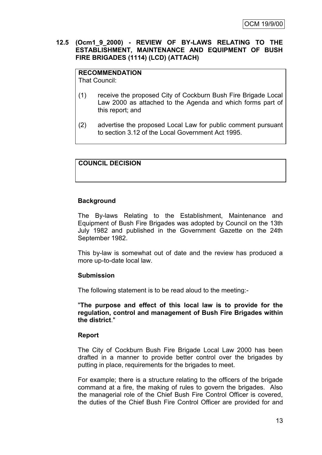#### **12.5 (Ocm1\_9\_2000) - REVIEW OF BY-LAWS RELATING TO THE ESTABLISHMENT, MAINTENANCE AND EQUIPMENT OF BUSH FIRE BRIGADES (1114) (LCD) (ATTACH)**

**RECOMMENDATION** That Council:

- (1) receive the proposed City of Cockburn Bush Fire Brigade Local Law 2000 as attached to the Agenda and which forms part of this report; and
- (2) advertise the proposed Local Law for public comment pursuant to section 3.12 of the Local Government Act 1995.

# **COUNCIL DECISION**

#### **Background**

The By-laws Relating to the Establishment, Maintenance and Equipment of Bush Fire Brigades was adopted by Council on the 13th July 1982 and published in the Government Gazette on the 24th September 1982.

This by-law is somewhat out of date and the review has produced a more up-to-date local law.

#### **Submission**

The following statement is to be read aloud to the meeting:-

"**The purpose and effect of this local law is to provide for the regulation, control and management of Bush Fire Brigades within the district**."

#### **Report**

The City of Cockburn Bush Fire Brigade Local Law 2000 has been drafted in a manner to provide better control over the brigades by putting in place, requirements for the brigades to meet.

For example; there is a structure relating to the officers of the brigade command at a fire, the making of rules to govern the brigades. Also the managerial role of the Chief Bush Fire Control Officer is covered, the duties of the Chief Bush Fire Control Officer are provided for and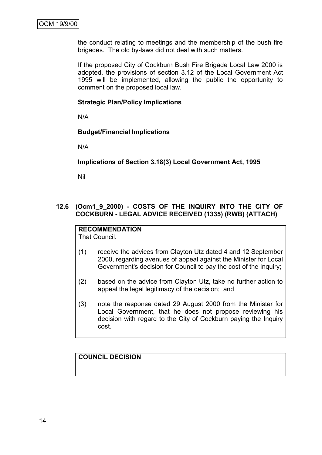the conduct relating to meetings and the membership of the bush fire brigades. The old by-laws did not deal with such matters.

If the proposed City of Cockburn Bush Fire Brigade Local Law 2000 is adopted, the provisions of section 3.12 of the Local Government Act 1995 will be implemented, allowing the public the opportunity to comment on the proposed local law.

#### **Strategic Plan/Policy Implications**

N/A

## **Budget/Financial Implications**

N/A

#### **Implications of Section 3.18(3) Local Government Act, 1995**

Nil

## **12.6 (Ocm1\_9\_2000) - COSTS OF THE INQUIRY INTO THE CITY OF COCKBURN - LEGAL ADVICE RECEIVED (1335) (RWB) (ATTACH)**

# **RECOMMENDATION**

That Council:

- (1) receive the advices from Clayton Utz dated 4 and 12 September 2000, regarding avenues of appeal against the Minister for Local Government's decision for Council to pay the cost of the Inquiry;
- (2) based on the advice from Clayton Utz, take no further action to appeal the legal legitimacy of the decision; and
- (3) note the response dated 29 August 2000 from the Minister for Local Government, that he does not propose reviewing his decision with regard to the City of Cockburn paying the Inquiry cost.

# **COUNCIL DECISION**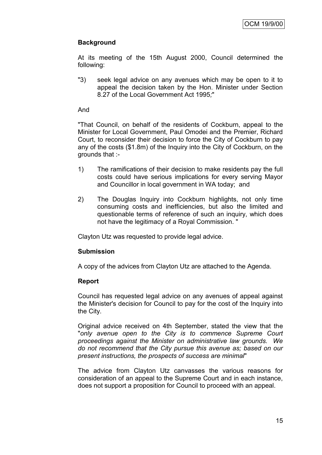# **Background**

At its meeting of the 15th August 2000, Council determined the following:

"3) seek legal advice on any avenues which may be open to it to appeal the decision taken by the Hon. Minister under Section 8.27 of the Local Government Act 1995*;*"

#### And

"That Council, on behalf of the residents of Cockburn, appeal to the Minister for Local Government, Paul Omodei and the Premier, Richard Court, to reconsider their decision to force the City of Cockburn to pay any of the costs (\$1.8m) of the Inquiry into the City of Cockburn, on the grounds that :-

- 1) The ramifications of their decision to make residents pay the full costs could have serious implications for every serving Mayor and Councillor in local government in WA today; and
- 2) The Douglas Inquiry into Cockburn highlights, not only time consuming costs and inefficiencies, but also the limited and questionable terms of reference of such an inquiry, which does not have the legitimacy of a Royal Commission. "

Clayton Utz was requested to provide legal advice.

#### **Submission**

A copy of the advices from Clayton Utz are attached to the Agenda.

#### **Report**

Council has requested legal advice on any avenues of appeal against the Minister's decision for Council to pay for the cost of the Inquiry into the City.

Original advice received on 4th September, stated the view that the "only avenue open to the City is to commence Supreme Court *proceedings against the Minister on administrative law grounds. We do not recommend that the City pursue this avenue as; based on our present instructions, the prospects of success are minimal*"

The advice from Clayton Utz canvasses the various reasons for consideration of an appeal to the Supreme Court and in each instance, does not support a proposition for Council to proceed with an appeal.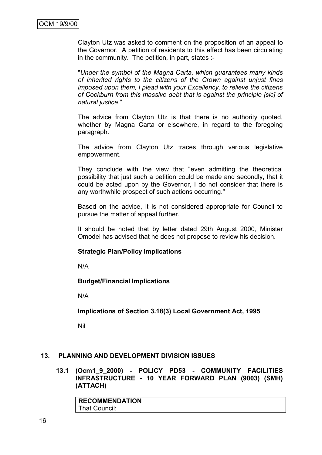Clayton Utz was asked to comment on the proposition of an appeal to the Governor. A petition of residents to this effect has been circulating in the community. The petition, in part, states :-

"*Under the symbol of the Magna Carta, which guarantees many kinds of inherited rights to the citizens of the Crown against unjust fines imposed upon them, I plead with your Excellency, to relieve the citizens of Cockburn from this massive debt that is against the principle [sic] of natural justice*."

The advice from Clayton Utz is that there is no authority quoted, whether by Magna Carta or elsewhere, in regard to the foregoing paragraph.

The advice from Clayton Utz traces through various legislative empowerment.

They conclude with the view that "even admitting the theoretical possibility that just such a petition could be made and secondly, that it could be acted upon by the Governor, I do not consider that there is any worthwhile prospect of such actions occurring."

Based on the advice, it is not considered appropriate for Council to pursue the matter of appeal further.

It should be noted that by letter dated 29th August 2000, Minister Omodei has advised that he does not propose to review his decision.

#### **Strategic Plan/Policy Implications**

N/A

#### **Budget/Financial Implications**

N/A

**Implications of Section 3.18(3) Local Government Act, 1995**

Nil

#### **13. PLANNING AND DEVELOPMENT DIVISION ISSUES**

**13.1 (Ocm1\_9\_2000) - POLICY PD53 - COMMUNITY FACILITIES INFRASTRUCTURE - 10 YEAR FORWARD PLAN (9003) (SMH) (ATTACH)**

| <b>RECOMMENDATION</b> |  |
|-----------------------|--|
| That Council:         |  |
|                       |  |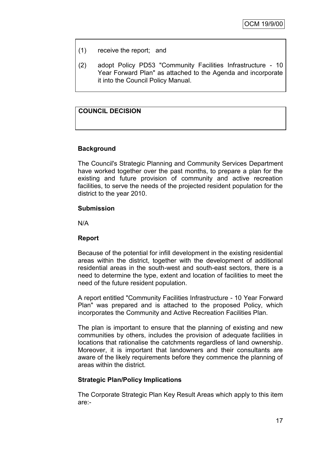- (1) receive the report; and
- (2) adopt Policy PD53 "Community Facilities Infrastructure 10 Year Forward Plan" as attached to the Agenda and incorporate it into the Council Policy Manual.

# **COUNCIL DECISION**

## **Background**

The Council's Strategic Planning and Community Services Department have worked together over the past months, to prepare a plan for the existing and future provision of community and active recreation facilities, to serve the needs of the projected resident population for the district to the year 2010.

#### **Submission**

N/A

#### **Report**

Because of the potential for infill development in the existing residential areas within the district, together with the development of additional residential areas in the south-west and south-east sectors, there is a need to determine the type, extent and location of facilities to meet the need of the future resident population.

A report entitled "Community Facilities Infrastructure - 10 Year Forward Plan" was prepared and is attached to the proposed Policy, which incorporates the Community and Active Recreation Facilities Plan.

The plan is important to ensure that the planning of existing and new communities by others, includes the provision of adequate facilities in locations that rationalise the catchments regardless of land ownership. Moreover, it is important that landowners and their consultants are aware of the likely requirements before they commence the planning of areas within the district.

#### **Strategic Plan/Policy Implications**

The Corporate Strategic Plan Key Result Areas which apply to this item are:-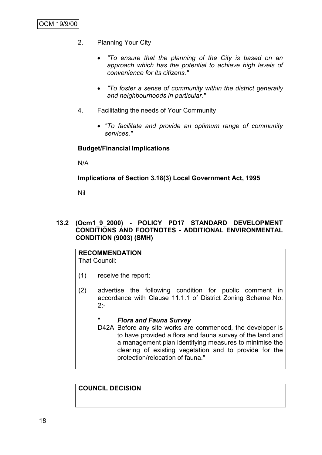- 2. Planning Your City
	- *"To ensure that the planning of the City is based on an approach which has the potential to achieve high levels of convenience for its citizens."*
	- *"To foster a sense of community within the district generally and neighbourhoods in particular."*
- 4. Facilitating the needs of Your Community
	- *"To facilitate and provide an optimum range of community services."*

#### **Budget/Financial Implications**

N/A

#### **Implications of Section 3.18(3) Local Government Act, 1995**

Nil

#### **13.2 (Ocm1\_9\_2000) - POLICY PD17 STANDARD DEVELOPMENT CONDITIONS AND FOOTNOTES - ADDITIONAL ENVIRONMENTAL CONDITION (9003) (SMH)**

#### **RECOMMENDATION** That Council:

- (1) receive the report;
- (2) advertise the following condition for public comment in accordance with Clause 11.1.1 of District Zoning Scheme No.  $2:$

#### " *Flora and Fauna Survey*

D42A Before any site works are commenced, the developer is to have provided a flora and fauna survey of the land and a management plan identifying measures to minimise the clearing of existing vegetation and to provide for the protection/relocation of fauna."

## **COUNCIL DECISION**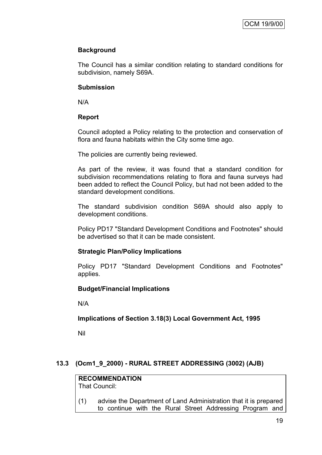# **Background**

The Council has a similar condition relating to standard conditions for subdivision, namely S69A.

## **Submission**

N/A

# **Report**

Council adopted a Policy relating to the protection and conservation of flora and fauna habitats within the City some time ago.

The policies are currently being reviewed.

As part of the review, it was found that a standard condition for subdivision recommendations relating to flora and fauna surveys had been added to reflect the Council Policy, but had not been added to the standard development conditions.

The standard subdivision condition S69A should also apply to development conditions.

Policy PD17 "Standard Development Conditions and Footnotes" should be advertised so that it can be made consistent.

# **Strategic Plan/Policy Implications**

Policy PD17 "Standard Development Conditions and Footnotes" applies.

# **Budget/Financial Implications**

N/A

# **Implications of Section 3.18(3) Local Government Act, 1995**

Nil

# **13.3 (Ocm1\_9\_2000) - RURAL STREET ADDRESSING (3002) (AJB)**

#### **RECOMMENDATION** That Council:

(1) advise the Department of Land Administration that it is prepared to continue with the Rural Street Addressing Program and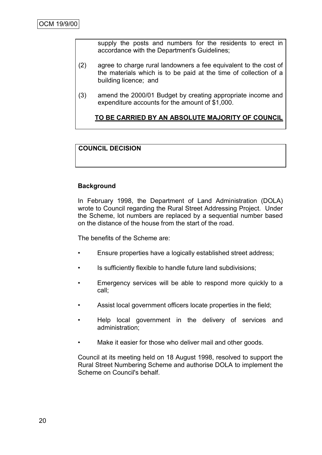supply the posts and numbers for the residents to erect in accordance with the Department's Guidelines;

- (2) agree to charge rural landowners a fee equivalent to the cost of the materials which is to be paid at the time of collection of a building licence; and
- (3) amend the 2000/01 Budget by creating appropriate income and expenditure accounts for the amount of \$1,000.

# **TO BE CARRIED BY AN ABSOLUTE MAJORITY OF COUNCIL**

# **COUNCIL DECISION**

## **Background**

In February 1998, the Department of Land Administration (DOLA) wrote to Council regarding the Rural Street Addressing Project. Under the Scheme, lot numbers are replaced by a sequential number based on the distance of the house from the start of the road.

The benefits of the Scheme are:

- Ensure properties have a logically established street address;
- Is sufficiently flexible to handle future land subdivisions;
- Emergency services will be able to respond more quickly to a call;
- Assist local government officers locate properties in the field;
- Help local government in the delivery of services and administration;
- Make it easier for those who deliver mail and other goods.

Council at its meeting held on 18 August 1998, resolved to support the Rural Street Numbering Scheme and authorise DOLA to implement the Scheme on Council's behalf.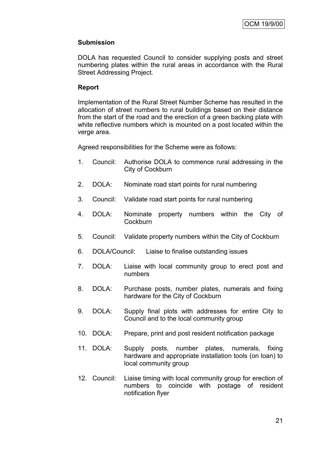## **Submission**

DOLA has requested Council to consider supplying posts and street numbering plates within the rural areas in accordance with the Rural Street Addressing Project.

### **Report**

Implementation of the Rural Street Number Scheme has resulted in the allocation of street numbers to rural buildings based on their distance from the start of the road and the erection of a green backing plate with white reflective numbers which is mounted on a post located within the verge area.

Agreed responsibilities for the Scheme were as follows:

- 1. Council: Authorise DOLA to commence rural addressing in the City of Cockburn
- 2. DOLA: Nominate road start points for rural numbering
- 3. Council: Validate road start points for rural numbering
- 4. DOLA: Nominate property numbers within the City of **Cockburn**
- 5. Council: Validate property numbers within the City of Cockburn
- 6. DOLA/Council: Liaise to finalise outstanding issues
- 7. DOLA: Liaise with local community group to erect post and numbers
- 8. DOLA: Purchase posts, number plates, numerals and fixing hardware for the City of Cockburn
- 9. DOLA: Supply final plots with addresses for entire City to Council and to the local community group
- 10. DOLA: Prepare, print and post resident notification package
- 11. DOLA: Supply posts, number plates, numerals, fixing hardware and appropriate installation tools (on loan) to local community group
- 12. Council: Liaise timing with local community group for erection of numbers to coincide with postage of resident notification flyer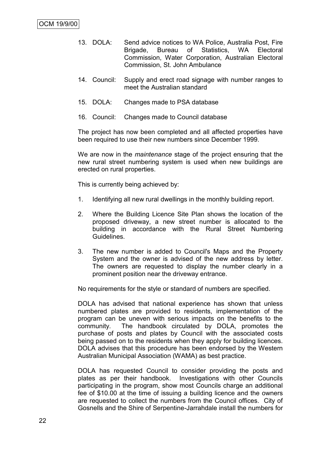- 13. DOLA: Send advice notices to WA Police, Australia Post, Fire Brigade, Bureau of Statistics, WA Electoral Commission, Water Corporation, Australian Electoral Commission, St. John Ambulance
- 14. Council: Supply and erect road signage with number ranges to meet the Australian standard
- 15. DOLA: Changes made to PSA database
- 16. Council: Changes made to Council database

The project has now been completed and all affected properties have been required to use their new numbers since December 1999.

We are now in the *maintenance* stage of the project ensuring that the new rural street numbering system is used when new buildings are erected on rural properties.

This is currently being achieved by:

- 1. Identifying all new rural dwellings in the monthly building report.
- 2. Where the Building Licence Site Plan shows the location of the proposed driveway, a new street number is allocated to the building in accordance with the Rural Street Numbering Guidelines.
- 3. The new number is added to Council's Maps and the Property System and the owner is advised of the new address by letter. The owners are requested to display the number clearly in a prominent position near the driveway entrance.

No requirements for the style or standard of numbers are specified.

DOLA has advised that national experience has shown that unless numbered plates are provided to residents, implementation of the program can be uneven with serious impacts on the benefits to the community. The handbook circulated by DOLA, promotes the purchase of posts and plates by Council with the associated costs being passed on to the residents when they apply for building licences. DOLA advises that this procedure has been endorsed by the Western Australian Municipal Association (WAMA) as best practice.

DOLA has requested Council to consider providing the posts and plates as per their handbook. Investigations with other Councils participating in the program, show most Councils charge an additional fee of \$10.00 at the time of issuing a building licence and the owners are requested to collect the numbers from the Council offices. City of Gosnells and the Shire of Serpentine-Jarrahdale install the numbers for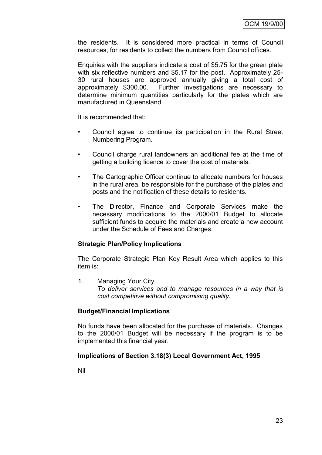the residents. It is considered more practical in terms of Council resources, for residents to collect the numbers from Council offices.

Enquiries with the suppliers indicate a cost of \$5.75 for the green plate with six reflective numbers and \$5.17 for the post. Approximately 25- 30 rural houses are approved annually giving a total cost of approximately \$300.00. Further investigations are necessary to determine minimum quantities particularly for the plates which are manufactured in Queensland.

It is recommended that:

- Council agree to continue its participation in the Rural Street Numbering Program.
- Council charge rural landowners an additional fee at the time of getting a building licence to cover the cost of materials.
- The Cartographic Officer continue to allocate numbers for houses in the rural area, be responsible for the purchase of the plates and posts and the notification of these details to residents.
- The Director, Finance and Corporate Services make the necessary modifications to the 2000/01 Budget to allocate sufficient funds to acquire the materials and create a new account under the Schedule of Fees and Charges.

#### **Strategic Plan/Policy Implications**

The Corporate Strategic Plan Key Result Area which applies to this item is:

1. Managing Your City *To deliver services and to manage resources in a way that is cost competitive without compromising quality.*

#### **Budget/Financial Implications**

No funds have been allocated for the purchase of materials. Changes to the 2000/01 Budget will be necessary if the program is to be implemented this financial year.

#### **Implications of Section 3.18(3) Local Government Act, 1995**

Nil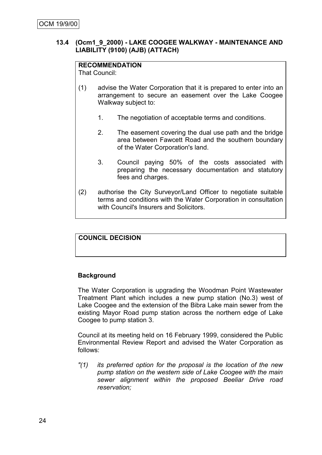### **13.4 (Ocm1\_9\_2000) - LAKE COOGEE WALKWAY - MAINTENANCE AND LIABILITY (9100) (AJB) (ATTACH)**

## **RECOMMENDATION**

That Council:

- (1) advise the Water Corporation that it is prepared to enter into an arrangement to secure an easement over the Lake Coogee Walkway subject to:
	- 1. The negotiation of acceptable terms and conditions.
	- 2. The easement covering the dual use path and the bridge area between Fawcett Road and the southern boundary of the Water Corporation's land.
	- 3. Council paying 50% of the costs associated with preparing the necessary documentation and statutory fees and charges.
- (2) authorise the City Surveyor/Land Officer to negotiate suitable terms and conditions with the Water Corporation in consultation with Council's Insurers and Solicitors.

# **COUNCIL DECISION**

#### **Background**

The Water Corporation is upgrading the Woodman Point Wastewater Treatment Plant which includes a new pump station (No.3) west of Lake Coogee and the extension of the Bibra Lake main sewer from the existing Mayor Road pump station across the northern edge of Lake Coogee to pump station 3.

Council at its meeting held on 16 February 1999, considered the Public Environmental Review Report and advised the Water Corporation as follows:

*"(1) its preferred option for the proposal is the location of the new pump station on the western side of Lake Coogee with the main sewer alignment within the proposed Beeliar Drive road reservation;*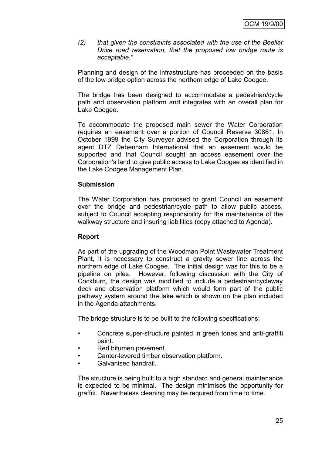*(2) that given the constraints associated with the use of the Beeliar Drive road reservation, that the proposed low bridge route is acceptable."*

Planning and design of the infrastructure has proceeded on the basis of the low bridge option across the northern edge of Lake Coogee.

The bridge has been designed to accommodate a pedestrian/cycle path and observation platform and integrates with an overall plan for Lake Coogee.

To accommodate the proposed main sewer the Water Corporation requires an easement over a portion of Council Reserve 30861. In October 1999 the City Surveyor advised the Corporation through its agent DTZ Debenham International that an easement would be supported and that Council sought an access easement over the Corporation's land to give public access to Lake Coogee as identified in the Lake Coogee Management Plan.

#### **Submission**

The Water Corporation has proposed to grant Council an easement over the bridge and pedestrian/cycle path to allow public access, subject to Council accepting responsibility for the maintenance of the walkway structure and insuring liabilities (copy attached to Agenda).

#### **Report**

As part of the upgrading of the Woodman Point Wastewater Treatment Plant, it is necessary to construct a gravity sewer line across the northern edge of Lake Coogee. The initial design was for this to be a pipeline on piles. However, following discussion with the City of Cockburn, the design was modified to include a pedestrian/cycleway deck and observation platform which would form part of the public pathway system around the lake which is shown on the plan included in the Agenda attachments.

The bridge structure is to be built to the following specifications:

- Concrete super-structure painted in green tones and anti-graffiti paint.
- Red bitumen pavement.
- Canter-levered timber observation platform.
- Galvanised handrail.

The structure is being built to a high standard and general maintenance is expected to be minimal. The design minimises the opportunity for graffiti. Nevertheless cleaning may be required from time to time.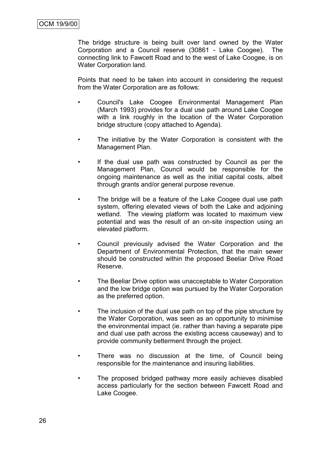The bridge structure is being built over land owned by the Water Corporation and a Council reserve (30861 - Lake Coogee). The connecting link to Fawcett Road and to the west of Lake Coogee, is on Water Corporation land.

Points that need to be taken into account in considering the request from the Water Corporation are as follows:

- Council's Lake Coogee Environmental Management Plan (March 1993) provides for a dual use path around Lake Coogee with a link roughly in the location of the Water Corporation bridge structure (copy attached to Agenda).
- The initiative by the Water Corporation is consistent with the Management Plan.
- If the dual use path was constructed by Council as per the Management Plan, Council would be responsible for the ongoing maintenance as well as the initial capital costs, albeit through grants and/or general purpose revenue.
- The bridge will be a feature of the Lake Coogee dual use path system, offering elevated views of both the Lake and adjoining wetland. The viewing platform was located to maximum view potential and was the result of an on-site inspection using an elevated platform.
- Council previously advised the Water Corporation and the Department of Environmental Protection, that the main sewer should be constructed within the proposed Beeliar Drive Road Reserve.
- The Beeliar Drive option was unacceptable to Water Corporation and the low bridge option was pursued by the Water Corporation as the preferred option.
- The inclusion of the dual use path on top of the pipe structure by the Water Corporation, was seen as an opportunity to minimise the environmental impact (ie. rather than having a separate pipe and dual use path across the existing access causeway) and to provide community betterment through the project.
- There was no discussion at the time, of Council being responsible for the maintenance and insuring liabilities.
- The proposed bridged pathway more easily achieves disabled access particularly for the section between Fawcett Road and Lake Coogee.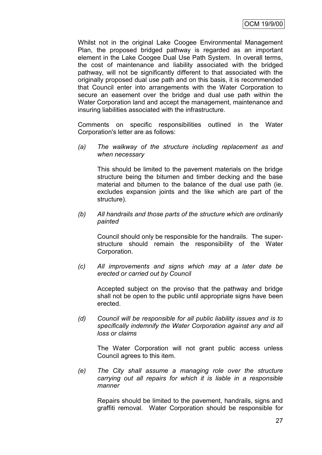Whilst not in the original Lake Coogee Environmental Management Plan, the proposed bridged pathway is regarded as an important element in the Lake Coogee Dual Use Path System. In overall terms, the cost of maintenance and liability associated with the bridged pathway, will not be significantly different to that associated with the originally proposed dual use path and on this basis, it is recommended that Council enter into arrangements with the Water Corporation to secure an easement over the bridge and dual use path within the Water Corporation land and accept the management, maintenance and insuring liabilities associated with the infrastructure.

Comments on specific responsibilities outlined in the Water Corporation's letter are as follows:

*(a) The walkway of the structure including replacement as and when necessary*

This should be limited to the pavement materials on the bridge structure being the bitumen and timber decking and the base material and bitumen to the balance of the dual use path (ie. excludes expansion joints and the like which are part of the structure).

*(b) All handrails and those parts of the structure which are ordinarily painted*

Council should only be responsible for the handrails. The superstructure should remain the responsibility of the Water Corporation.

*(c) All improvements and signs which may at a later date be erected or carried out by Council*

Accepted subject on the proviso that the pathway and bridge shall not be open to the public until appropriate signs have been erected.

*(d) Council will be responsible for all public liability issues and is to specifically indemnify the Water Corporation against any and all loss or claims*

The Water Corporation will not grant public access unless Council agrees to this item.

*(e) The City shall assume a managing role over the structure carrying out all repairs for which it is liable in a responsible manner*

Repairs should be limited to the pavement, handrails, signs and graffiti removal. Water Corporation should be responsible for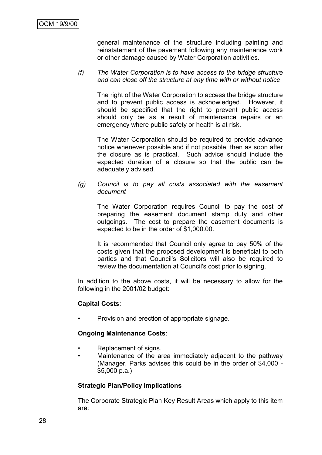general maintenance of the structure including painting and reinstatement of the pavement following any maintenance work or other damage caused by Water Corporation activities.

#### *(f) The Water Corporation is to have access to the bridge structure and can close off the structure at any time with or without notice*

The right of the Water Corporation to access the bridge structure and to prevent public access is acknowledged. However, it should be specified that the right to prevent public access should only be as a result of maintenance repairs or an emergency where public safety or health is at risk.

The Water Corporation should be required to provide advance notice whenever possible and if not possible, then as soon after the closure as is practical. Such advice should include the expected duration of a closure so that the public can be adequately advised.

*(g) Council is to pay all costs associated with the easement document*

The Water Corporation requires Council to pay the cost of preparing the easement document stamp duty and other outgoings. The cost to prepare the easement documents is expected to be in the order of \$1,000.00.

It is recommended that Council only agree to pay 50% of the costs given that the proposed development is beneficial to both parties and that Council's Solicitors will also be required to review the documentation at Council's cost prior to signing.

In addition to the above costs, it will be necessary to allow for the following in the 2001/02 budget:

#### **Capital Costs**:

• Provision and erection of appropriate signage.

#### **Ongoing Maintenance Costs**:

- Replacement of signs.
- Maintenance of the area immediately adjacent to the pathway (Manager, Parks advises this could be in the order of \$4,000 - \$5,000 p.a.)

#### **Strategic Plan/Policy Implications**

The Corporate Strategic Plan Key Result Areas which apply to this item are: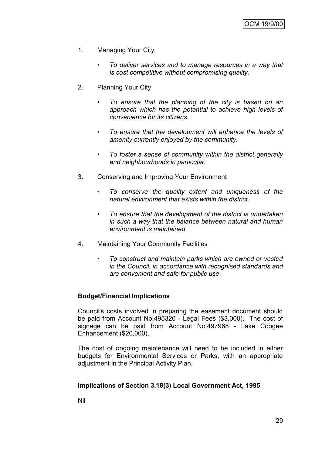- 1. Managing Your City
	- *• To deliver services and to manage resources in a way that is cost competitive without compromising quality.*
- 2. Planning Your City
	- *• To ensure that the planning of the city is based on an approach which has the potential to achieve high levels of convenience for its citizens.*
	- *• To ensure that the development will enhance the levels of amenity currently enjoyed by the community.*
	- *• To foster a sense of community within the district generally and neighbourhoods in particular.*
- 3. Conserving and Improving Your Environment
	- *To conserve the quality extent and uniqueness of the natural environment that exists within the district.*
	- *• To ensure that the development of the district is undertaken in such a way that the balance between natural and human environment is maintained.*
- 4. Maintaining Your Community Facilities
	- *To construct and maintain parks which are owned or vested in the Council, in accordance with recognised standards and are convenient and safe for public use*.

#### **Budget/Financial Implications**

Council's costs involved in preparing the easement document should be paid from Account No.495320 - Legal Fees (\$3,000). The cost of signage can be paid from Account No.497968 - Lake Coogee Enhancement (\$20,000).

The cost of ongoing maintenance will need to be included in either budgets for Environmental Services or Parks, with an appropriate adjustment in the Principal Activity Plan.

#### **Implications of Section 3.18(3) Local Government Act, 1995**

Nil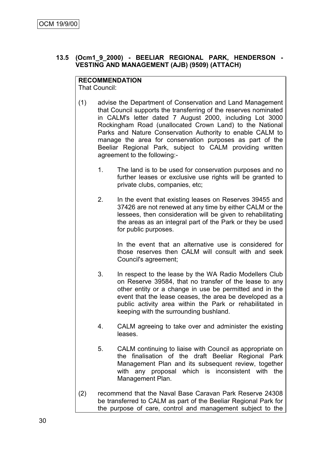## **13.5 (Ocm1\_9\_2000) - BEELIAR REGIONAL PARK, HENDERSON - VESTING AND MANAGEMENT (AJB) (9509) (ATTACH)**

# **RECOMMENDATION**

That Council:

- (1) advise the Department of Conservation and Land Management that Council supports the transferring of the reserves nominated in CALM's letter dated 7 August 2000, including Lot 3000 Rockingham Road (unallocated Crown Land) to the National Parks and Nature Conservation Authority to enable CALM to manage the area for conservation purposes as part of the Beeliar Regional Park, subject to CALM providing written agreement to the following:-
	- 1. The land is to be used for conservation purposes and no further leases or exclusive use rights will be granted to private clubs, companies, etc;
	- 2. In the event that existing leases on Reserves 39455 and 37426 are not renewed at any time by either CALM or the lessees, then consideration will be given to rehabilitating the areas as an integral part of the Park or they be used for public purposes.

In the event that an alternative use is considered for those reserves then CALM will consult with and seek Council's agreement;

- 3. In respect to the lease by the WA Radio Modellers Club on Reserve 39584, that no transfer of the lease to any other entity or a change in use be permitted and in the event that the lease ceases, the area be developed as a public activity area within the Park or rehabilitated in keeping with the surrounding bushland.
- 4. CALM agreeing to take over and administer the existing leases.
- 5. CALM continuing to liaise with Council as appropriate on the finalisation of the draft Beeliar Regional Park Management Plan and its subsequent review, together with any proposal which is inconsistent with the Management Plan.
- (2) recommend that the Naval Base Caravan Park Reserve 24308 be transferred to CALM as part of the Beeliar Regional Park for the purpose of care, control and management subject to the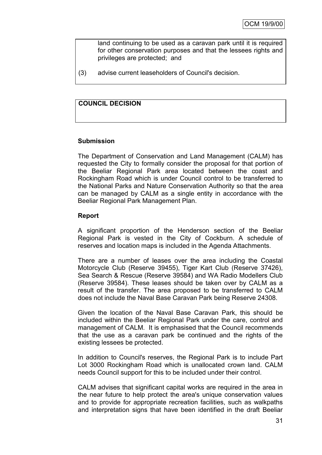land continuing to be used as a caravan park until it is required for other conservation purposes and that the lessees rights and privileges are protected; and

(3) advise current leaseholders of Council's decision.

# **COUNCIL DECISION**

# **Submission**

The Department of Conservation and Land Management (CALM) has requested the City to formally consider the proposal for that portion of the Beeliar Regional Park area located between the coast and Rockingham Road which is under Council control to be transferred to the National Parks and Nature Conservation Authority so that the area can be managed by CALM as a single entity in accordance with the Beeliar Regional Park Management Plan.

# **Report**

A significant proportion of the Henderson section of the Beeliar Regional Park is vested in the City of Cockburn. A schedule of reserves and location maps is included in the Agenda Attachments.

There are a number of leases over the area including the Coastal Motorcycle Club (Reserve 39455), Tiger Kart Club (Reserve 37426), Sea Search & Rescue (Reserve 39584) and WA Radio Modellers Club (Reserve 39584). These leases should be taken over by CALM as a result of the transfer. The area proposed to be transferred to CALM does not include the Naval Base Caravan Park being Reserve 24308.

Given the location of the Naval Base Caravan Park, this should be included within the Beeliar Regional Park under the care, control and management of CALM. It is emphasised that the Council recommends that the use as a caravan park be continued and the rights of the existing lessees be protected.

In addition to Council's reserves, the Regional Park is to include Part Lot 3000 Rockingham Road which is unallocated crown land. CALM needs Council support for this to be included under their control.

CALM advises that significant capital works are required in the area in the near future to help protect the area's unique conservation values and to provide for appropriate recreation facilities, such as walkpaths and interpretation signs that have been identified in the draft Beeliar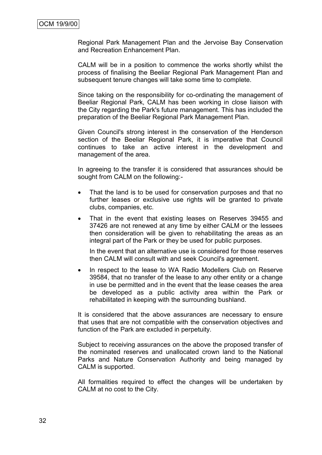Regional Park Management Plan and the Jervoise Bay Conservation and Recreation Enhancement Plan.

CALM will be in a position to commence the works shortly whilst the process of finalising the Beeliar Regional Park Management Plan and subsequent tenure changes will take some time to complete.

Since taking on the responsibility for co-ordinating the management of Beeliar Regional Park, CALM has been working in close liaison with the City regarding the Park's future management. This has included the preparation of the Beeliar Regional Park Management Plan.

Given Council's strong interest in the conservation of the Henderson section of the Beeliar Regional Park, it is imperative that Council continues to take an active interest in the development and management of the area.

In agreeing to the transfer it is considered that assurances should be sought from CALM on the following:-

- That the land is to be used for conservation purposes and that no further leases or exclusive use rights will be granted to private clubs, companies, etc.
- That in the event that existing leases on Reserves 39455 and 37426 are not renewed at any time by either CALM or the lessees then consideration will be given to rehabilitating the areas as an integral part of the Park or they be used for public purposes.

In the event that an alternative use is considered for those reserves then CALM will consult with and seek Council's agreement.

• In respect to the lease to WA Radio Modellers Club on Reserve 39584, that no transfer of the lease to any other entity or a change in use be permitted and in the event that the lease ceases the area be developed as a public activity area within the Park or rehabilitated in keeping with the surrounding bushland.

It is considered that the above assurances are necessary to ensure that uses that are not compatible with the conservation objectives and function of the Park are excluded in perpetuity.

Subject to receiving assurances on the above the proposed transfer of the nominated reserves and unallocated crown land to the National Parks and Nature Conservation Authority and being managed by CALM is supported.

All formalities required to effect the changes will be undertaken by CALM at no cost to the City.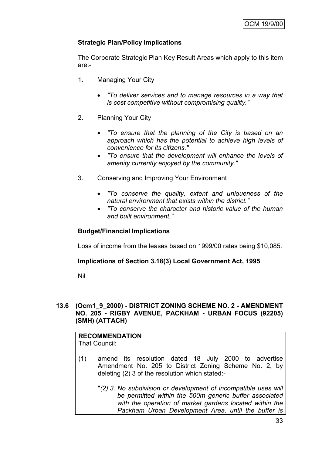# **Strategic Plan/Policy Implications**

The Corporate Strategic Plan Key Result Areas which apply to this item are:-

- 1. Managing Your City
	- *"To deliver services and to manage resources in a way that is cost competitive without compromising quality."*
- 2. Planning Your City
	- *"To ensure that the planning of the City is based on an approach which has the potential to achieve high levels of convenience for its citizens."*
	- *"To ensure that the development will enhance the levels of amenity currently enjoyed by the community."*
- 3. Conserving and Improving Your Environment
	- *"To conserve the quality, extent and uniqueness of the natural environment that exists within the district."*
	- *"To conserve the character and historic value of the human and built environment."*

# **Budget/Financial Implications**

Loss of income from the leases based on 1999/00 rates being \$10,085.

# **Implications of Section 3.18(3) Local Government Act, 1995**

Nil

# **13.6 (Ocm1\_9\_2000) - DISTRICT ZONING SCHEME NO. 2 - AMENDMENT NO. 205 - RIGBY AVENUE, PACKHAM - URBAN FOCUS (92205) (SMH) (ATTACH)**

# **RECOMMENDATION**

- That Council:
- (1) amend its resolution dated 18 July 2000 to advertise Amendment No. 205 to District Zoning Scheme No. 2, by deleting (2) 3 of the resolution which stated:-
	- "*(2) 3. No subdivision or development of incompatible uses will be permitted within the 500m generic buffer associated with the operation of market gardens located within the Packham Urban Development Area, until the buffer is*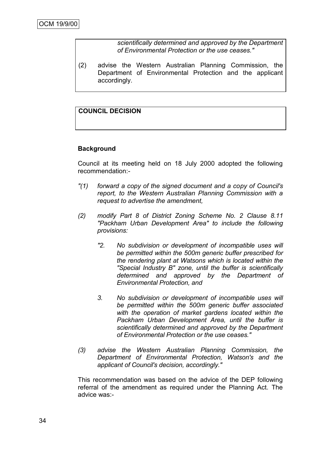*scientifically determined and approved by the Department of Environmental Protection or the use ceases."*

(2) advise the Western Australian Planning Commission, the Department of Environmental Protection and the applicant accordingly.

# **COUNCIL DECISION**

# **Background**

Council at its meeting held on 18 July 2000 adopted the following recommendation:-

- *"(1) forward a copy of the signed document and a copy of Council's report, to the Western Australian Planning Commission with a request to advertise the amendment,*
- *(2) modify Part 8 of District Zoning Scheme No. 2 Clause 8.11 "Packham Urban Development Area" to include the following provisions:*
	- *"2. No subdivision or development of incompatible uses will be permitted within the 500m generic buffer prescribed for the rendering plant at Watsons which is located within the "Special Industry B" zone, until the buffer is scientifically determined and approved by the Department of Environmental Protection, and*
	- *3. No subdivision or development of incompatible uses will be permitted within the 500m generic buffer associated with the operation of market gardens located within the Packham Urban Development Area, until the buffer is scientifically determined and approved by the Department of Environmental Protection or the use ceases."*
- *(3) advise the Western Australian Planning Commission, the Department of Environmental Protection, Watson's and the applicant of Council's decision, accordingly."*

This recommendation was based on the advice of the DEP following referral of the amendment as required under the Planning Act. The advice was:-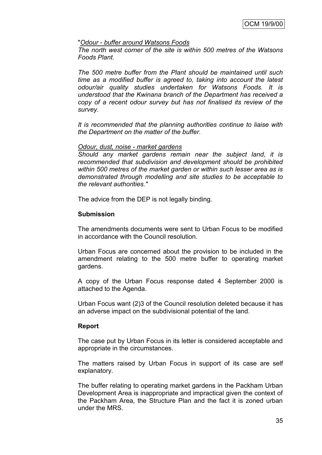#### "*Odour - buffer around Watsons Foods*

*The north west corner of the site is within 500 metres of the Watsons Foods Plant.*

*The 500 metre buffer from the Plant should be maintained until such time as a modified buffer is agreed to, taking into account the latest odour/air quality studies undertaken for Watsons Foods. It is understood that the Kwinana branch of the Department has received a copy of a recent odour survey but has not finalised its review of the survey.*

*It is recommended that the planning authorities continue to liaise with the Department on the matter of the buffer.*

#### *Odour, dust, noise - market gardens*

*Should any market gardens remain near the subject land, it is recommended that subdivision and development should be prohibited within 500 metres of the market garden or within such lesser area as is demonstrated through modelling and site studies to be acceptable to the relevant authorities."*

The advice from the DEP is not legally binding.

#### **Submission**

The amendments documents were sent to Urban Focus to be modified in accordance with the Council resolution.

Urban Focus are concerned about the provision to be included in the amendment relating to the 500 metre buffer to operating market gardens.

A copy of the Urban Focus response dated 4 September 2000 is attached to the Agenda.

Urban Focus want (2)3 of the Council resolution deleted because it has an adverse impact on the subdivisional potential of the land.

# **Report**

The case put by Urban Focus in its letter is considered acceptable and appropriate in the circumstances.

The matters raised by Urban Focus in support of its case are self explanatory.

The buffer relating to operating market gardens in the Packham Urban Development Area is inappropriate and impractical given the context of the Packham Area, the Structure Plan and the fact it is zoned urban under the MRS.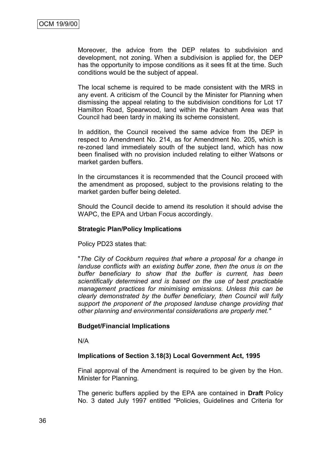Moreover, the advice from the DEP relates to subdivision and development, not zoning. When a subdivision is applied for, the DEP has the opportunity to impose conditions as it sees fit at the time. Such conditions would be the subject of appeal.

The local scheme is required to be made consistent with the MRS in any event. A criticism of the Council by the Minister for Planning when dismissing the appeal relating to the subdivision conditions for Lot 17 Hamilton Road, Spearwood, land within the Packham Area was that Council had been tardy in making its scheme consistent.

In addition, the Council received the same advice from the DEP in respect to Amendment No. 214, as for Amendment No. 205, which is re-zoned land immediately south of the subject land, which has now been finalised with no provision included relating to either Watsons or market garden buffers.

In the circumstances it is recommended that the Council proceed with the amendment as proposed, subject to the provisions relating to the market garden buffer being deleted.

Should the Council decide to amend its resolution it should advise the WAPC, the EPA and Urban Focus accordingly.

#### **Strategic Plan/Policy Implications**

Policy PD23 states that:

"*The City of Cockburn requires that where a proposal for a change in landuse conflicts with an existing buffer zone, then the onus is on the buffer beneficiary to show that the buffer is current, has been scientifically determined and is based on the use of best practicable management practices for minimising emissions. Unless this can be clearly demonstrated by the buffer beneficiary, then Council will fully support the proponent of the proposed landuse change providing that other planning and environmental considerations are properly met."*

#### **Budget/Financial Implications**

N/A

# **Implications of Section 3.18(3) Local Government Act, 1995**

Final approval of the Amendment is required to be given by the Hon. Minister for Planning.

The generic buffers applied by the EPA are contained in **Draft** Policy No. 3 dated July 1997 entitled "Policies, Guidelines and Criteria for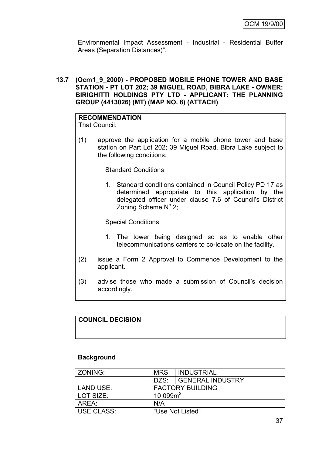Environmental Impact Assessment - Industrial - Residential Buffer Areas (Separation Distances)".

# **13.7 (Ocm1\_9\_2000) - PROPOSED MOBILE PHONE TOWER AND BASE STATION - PT LOT 202; 39 MIGUEL ROAD, BIBRA LAKE - OWNER: BIRIGHITTI HOLDINGS PTY LTD - APPLICANT: THE PLANNING GROUP (4413026) (MT) (MAP NO. 8) (ATTACH)**

# **RECOMMENDATION**

That Council:

(1) approve the application for a mobile phone tower and base station on Part Lot 202; 39 Miguel Road, Bibra Lake subject to the following conditions:

# Standard Conditions

1. Standard conditions contained in Council Policy PD 17 as determined appropriate to this application by the delegated officer under clause 7.6 of Council"s District Zoning Scheme Nº 2;

Special Conditions

- 1. The tower being designed so as to enable other telecommunications carriers to co-locate on the facility.
- (2) issue a Form 2 Approval to Commence Development to the applicant.
- (3) advise those who made a submission of Council"s decision accordingly.

# **COUNCIL DECISION**

# **Background**

| ZONING:           | MRS:                    | INDUSTRIAL            |
|-------------------|-------------------------|-----------------------|
|                   |                         | DZS: GENERAL INDUSTRY |
| LAND USE:         | <b>FACTORY BUILDING</b> |                       |
| LOT SIZE:         | 10 099 $m^2$            |                       |
| AREA:             | N/A                     |                       |
| <b>USE CLASS:</b> |                         | "Use Not Listed"      |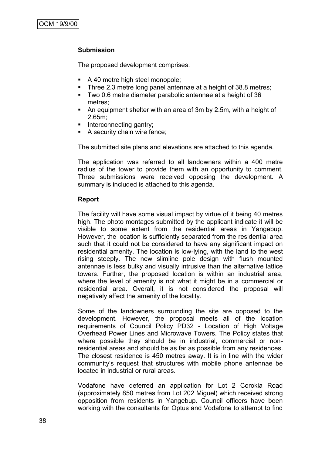# **Submission**

The proposed development comprises:

- A 40 metre high steel monopole;
- Three 2.3 metre long panel antennae at a height of 38.8 metres;
- Two 0.6 metre diameter parabolic antennae at a height of 36 metres;
- An equipment shelter with an area of 3m by 2.5m, with a height of 2.65m;
- Interconnecting gantry;
- A security chain wire fence;

The submitted site plans and elevations are attached to this agenda.

The application was referred to all landowners within a 400 metre radius of the tower to provide them with an opportunity to comment. Three submissions were received opposing the development. A summary is included is attached to this agenda.

# **Report**

The facility will have some visual impact by virtue of it being 40 metres high. The photo montages submitted by the applicant indicate it will be visible to some extent from the residential areas in Yangebup. However, the location is sufficiently separated from the residential area such that it could not be considered to have any significant impact on residential amenity. The location is low-lying, with the land to the west rising steeply. The new slimline pole design with flush mounted antennae is less bulky and visually intrusive than the alternative lattice towers. Further, the proposed location is within an industrial area, where the level of amenity is not what it might be in a commercial or residential area. Overall, it is not considered the proposal will negatively affect the amenity of the locality.

Some of the landowners surrounding the site are opposed to the development. However, the proposal meets all of the location requirements of Council Policy PD32 - Location of High Voltage Overhead Power Lines and Microwave Towers. The Policy states that where possible they should be in industrial, commercial or nonresidential areas and should be as far as possible from any residences. The closest residence is 450 metres away. It is in line with the wider community"s request that structures with mobile phone antennae be located in industrial or rural areas.

Vodafone have deferred an application for Lot 2 Corokia Road (approximately 850 metres from Lot 202 Miguel) which received strong opposition from residents in Yangebup. Council officers have been working with the consultants for Optus and Vodafone to attempt to find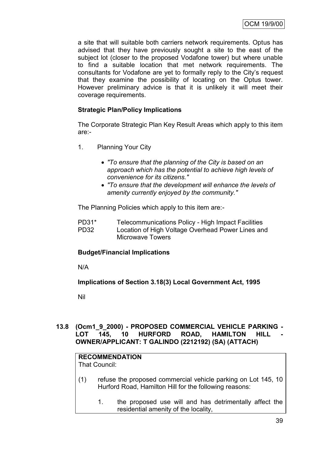a site that will suitable both carriers network requirements. Optus has advised that they have previously sought a site to the east of the subject lot (closer to the proposed Vodafone tower) but where unable to find a suitable location that met network requirements. The consultants for Vodafone are yet to formally reply to the City"s request that they examine the possibility of locating on the Optus tower. However preliminary advice is that it is unlikely it will meet their coverage requirements.

# **Strategic Plan/Policy Implications**

The Corporate Strategic Plan Key Result Areas which apply to this item are:-

- 1. Planning Your City
	- *"To ensure that the planning of the City is based on an approach which has the potential to achieve high levels of convenience for its citizens."*
	- *"To ensure that the development will enhance the levels of amenity currently enjoyed by the community."*

The Planning Policies which apply to this item are:-

PD31\* Telecommunications Policy - High Impact Facilities PD32 Location of High Voltage Overhead Power Lines and Microwave Towers

# **Budget/Financial Implications**

N/A

# **Implications of Section 3.18(3) Local Government Act, 1995**

Nil

# **13.8 (Ocm1\_9\_2000) - PROPOSED COMMERCIAL VEHICLE PARKING -** LOT 145, 10 HURFORD ROAD, HAMILTON HILL **OWNER/APPLICANT: T GALINDO (2212192) (SA) (ATTACH)**

# **RECOMMENDATION**

That Council:

- (1) refuse the proposed commercial vehicle parking on Lot 145, 10 Hurford Road, Hamilton Hill for the following reasons:
	- 1. the proposed use will and has detrimentally affect the residential amenity of the locality,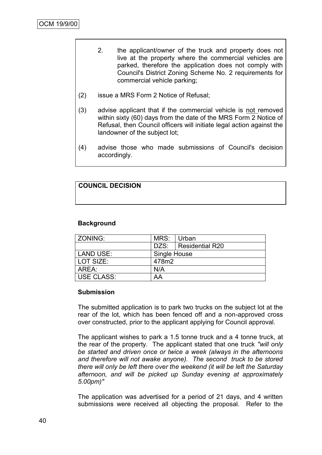- 2. the applicant/owner of the truck and property does not live at the property where the commercial vehicles are parked, therefore the application does not comply with Council's District Zoning Scheme No. 2 requirements for commercial vehicle parking;
- (2) issue a MRS Form 2 Notice of Refusal;
- (3) advise applicant that if the commercial vehicle is not removed within sixty (60) days from the date of the MRS Form 2 Notice of Refusal, then Council officers will initiate legal action against the landowner of the subject lot;
- (4) advise those who made submissions of Council's decision accordingly.

# **COUNCIL DECISION**

# **Background**

| l ZONING:         | MRS:         | Urban                  |  |
|-------------------|--------------|------------------------|--|
|                   |              | DZS:   Residential R20 |  |
| LAND USE:         | Single House |                        |  |
|                   | 478m2        |                        |  |
| AREA:             | N/A          |                        |  |
| <b>USE CLASS:</b> | AA           |                        |  |
| l LOT SIZE:       |              |                        |  |

# **Submission**

The submitted application is to park two trucks on the subject lot at the rear of the lot, which has been fenced off and a non-approved cross over constructed, prior to the applicant applying for Council approval.

The applicant wishes to park a 1.5 tonne truck and a 4 tonne truck, at the rear of the property. The applicant stated that one truck *"will only be started and driven once or twice a week (always in the afternoons and therefore will not awake anyone). The second truck to be stored there will only be left there over the weekend (it will be left the Saturday afternoon, and will be picked up Sunday evening at approximately 5.00pm)"* 

The application was advertised for a period of 21 days, and 4 written submissions were received all objecting the proposal. Refer to the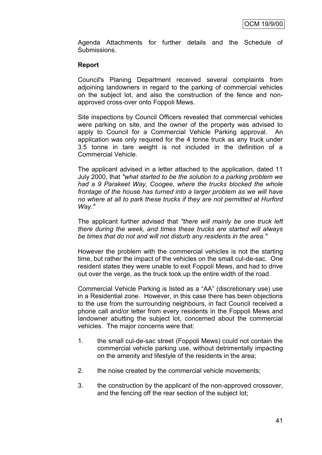Agenda Attachments for further details and the Schedule of Submissions.

# **Report**

Council's Planing Department received several complaints from adjoining landowners in regard to the parking of commercial vehicles on the subject lot, and also the construction of the fence and nonapproved cross-over onto Foppoli Mews.

Site inspections by Council Officers revealed that commercial vehicles were parking on site, and the owner of the property was advised to apply to Council for a Commercial Vehicle Parking approval. An application was only required for the 4 tonne truck as any truck under 3.5 tonne in tare weight is not included in the definition of a Commercial Vehicle.

The applicant advised in a letter attached to the application, dated 11 July 2000, that *"what started to be the solution to a parking problem we had a 9 Parakeet Way, Coogee, where the trucks blocked the whole frontage of the house has turned into a larger problem as we will have no where at all to park these trucks if they are not permitted at Hurford Way."*

The applicant further advised that *"there will mainly be one truck left there during the week, and times these trucks are started will always be times that do not and will not disturb any residents in the area."*

However the problem with the commercial vehicles is not the starting time, but rather the impact of the vehicles on the small cul-de-sac. One resident states they were unable to exit Foppoli Mews, and had to drive out over the verge, as the truck took up the entire width of the road.

Commercial Vehicle Parking is listed as a "AA" (discretionary use) use in a Residential zone. However, in this case there has been objections to the use from the surrounding neighbours, in fact Council received a phone call and/or letter from every residents in the Foppoli Mews and landowner abutting the subject lot, concerned about the commercial vehicles. The major concerns were that:

- 1. the small cul-de-sac street (Foppoli Mews) could not contain the commercial vehicle parking use, without detrimentally impacting on the amenity and lifestyle of the residents in the area;
- 2. the noise created by the commercial vehicle movements;
- 3. the construction by the applicant of the non-approved crossover, and the fencing off the rear section of the subject lot;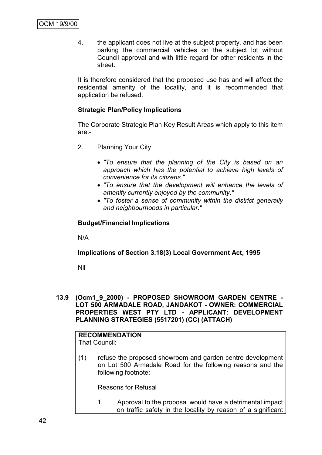4. the applicant does not live at the subject property, and has been parking the commercial vehicles on the subject lot without Council approval and with little regard for other residents in the street.

It is therefore considered that the proposed use has and will affect the residential amenity of the locality, and it is recommended that application be refused.

# **Strategic Plan/Policy Implications**

The Corporate Strategic Plan Key Result Areas which apply to this item are:-

- 2. Planning Your City
	- *"To ensure that the planning of the City is based on an approach which has the potential to achieve high levels of convenience for its citizens."*
	- *"To ensure that the development will enhance the levels of amenity currently enjoyed by the community."*
	- *"To foster a sense of community within the district generally and neighbourhoods in particular."*

# **Budget/Financial Implications**

N/A

# **Implications of Section 3.18(3) Local Government Act, 1995**

Nil

**13.9 (Ocm1\_9\_2000) - PROPOSED SHOWROOM GARDEN CENTRE - LOT 500 ARMADALE ROAD, JANDAKOT - OWNER: COMMERCIAL PROPERTIES WEST PTY LTD - APPLICANT: DEVELOPMENT PLANNING STRATEGIES (5517201) (CC) (ATTACH)**

#### **RECOMMENDATION** That Council:

(1) refuse the proposed showroom and garden centre development on Lot 500 Armadale Road for the following reasons and the following footnote:

Reasons for Refusal

1. Approval to the proposal would have a detrimental impact on traffic safety in the locality by reason of a significant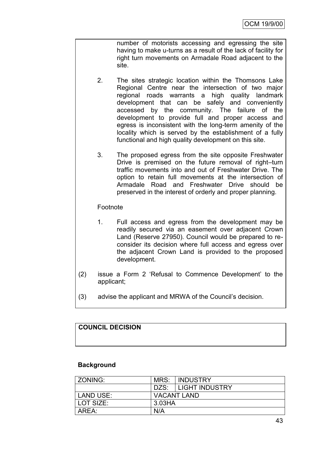number of motorists accessing and egressing the site having to make u-turns as a result of the lack of facility for right turn movements on Armadale Road adjacent to the site.

- 2. The sites strategic location within the Thomsons Lake Regional Centre near the intersection of two major regional roads warrants a high quality landmark development that can be safely and conveniently accessed by the community. The failure of the development to provide full and proper access and egress is inconsistent with the long-term amenity of the locality which is served by the establishment of a fully functional and high quality development on this site.
	- 3. The proposed egress from the site opposite Freshwater Drive is premised on the future removal of right–turn traffic movements into and out of Freshwater Drive. The option to retain full movements at the intersection of Armadale Road and Freshwater Drive should be preserved in the interest of orderly and proper planning.

# Footnote

- 1. Full access and egress from the development may be readily secured via an easement over adjacent Crown Land (Reserve 27950). Council would be prepared to reconsider its decision where full access and egress over the adjacent Crown Land is provided to the proposed development.
- (2) issue a Form 2 "Refusal to Commence Development" to the applicant;
- (3) advise the applicant and MRWA of the Council"s decision.

# **COUNCIL DECISION**

# **Background**

| ZONING:   | MRS:   | I INDUSTRY         |
|-----------|--------|--------------------|
|           | DZS:   | I LIGHT INDUSTRY   |
| LAND USE: |        | <b>VACANT LAND</b> |
| LOT SIZE: | 3.03HA |                    |
| AREA:     | N/A    |                    |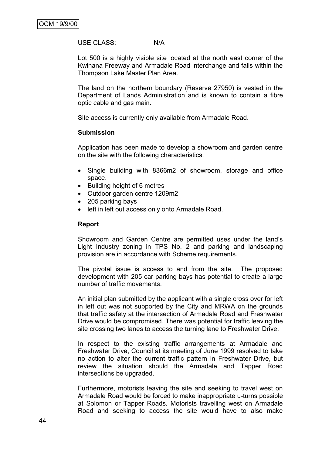| $\sim$<br>∟טי<br>$\cup$ $\cup$ $\cup$ $\cup$ $\cdot$ | N<br>. . |
|------------------------------------------------------|----------|
|------------------------------------------------------|----------|

Lot 500 is a highly visible site located at the north east corner of the Kwinana Freeway and Armadale Road interchange and falls within the Thompson Lake Master Plan Area.

The land on the northern boundary (Reserve 27950) is vested in the Department of Lands Administration and is known to contain a fibre optic cable and gas main.

Site access is currently only available from Armadale Road.

#### **Submission**

Application has been made to develop a showroom and garden centre on the site with the following characteristics:

- Single building with 8366m2 of showroom, storage and office space.
- Building height of 6 metres
- Outdoor garden centre 1209m2
- 205 parking bays
- left in left out access only onto Armadale Road.

#### **Report**

Showroom and Garden Centre are permitted uses under the land"s Light Industry zoning in TPS No. 2 and parking and landscaping provision are in accordance with Scheme requirements.

The pivotal issue is access to and from the site. The proposed development with 205 car parking bays has potential to create a large number of traffic movements.

An initial plan submitted by the applicant with a single cross over for left in left out was not supported by the City and MRWA on the grounds that traffic safety at the intersection of Armadale Road and Freshwater Drive would be compromised. There was potential for traffic leaving the site crossing two lanes to access the turning lane to Freshwater Drive.

In respect to the existing traffic arrangements at Armadale and Freshwater Drive, Council at its meeting of June 1999 resolved to take no action to alter the current traffic pattern in Freshwater Drive, but review the situation should the Armadale and Tapper Road intersections be upgraded.

Furthermore, motorists leaving the site and seeking to travel west on Armadale Road would be forced to make inappropriate u-turns possible at Solomon or Tapper Roads. Motorists travelling west on Armadale Road and seeking to access the site would have to also make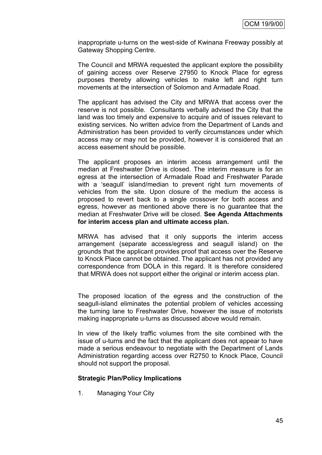inappropriate u-turns on the west-side of Kwinana Freeway possibly at Gateway Shopping Centre.

The Council and MRWA requested the applicant explore the possibility of gaining access over Reserve 27950 to Knock Place for egress purposes thereby allowing vehicles to make left and right turn movements at the intersection of Solomon and Armadale Road.

The applicant has advised the City and MRWA that access over the reserve is not possible. Consultants verbally advised the City that the land was too timely and expensive to acquire and of issues relevant to existing services. No written advice from the Department of Lands and Administration has been provided to verify circumstances under which access may or may not be provided, however it is considered that an access easement should be possible.

The applicant proposes an interim access arrangement until the median at Freshwater Drive is closed. The interim measure is for an egress at the intersection of Armadale Road and Freshwater Parade with a 'seagull' island/median to prevent right turn movements of vehicles from the site. Upon closure of the medium the access is proposed to revert back to a single crossover for both access and egress, however as mentioned above there is no guarantee that the median at Freshwater Drive will be closed. **See Agenda Attachments for interim access plan and ultimate access plan.**

MRWA has advised that it only supports the interim access arrangement (separate access/egress and seagull island) on the grounds that the applicant provides proof that access over the Reserve to Knock Place cannot be obtained. The applicant has not provided any correspondence from DOLA in this regard. It is therefore considered that MRWA does not support either the original or interim access plan.

The proposed location of the egress and the construction of the seagull-island eliminates the potential problem of vehicles accessing the turning lane to Freshwater Drive, however the issue of motorists making inappropriate u-turns as discussed above would remain.

In view of the likely traffic volumes from the site combined with the issue of u-turns and the fact that the applicant does not appear to have made a serious endeavour to negotiate with the Department of Lands Administration regarding access over R2750 to Knock Place, Council should not support the proposal.

# **Strategic Plan/Policy Implications**

1. Managing Your City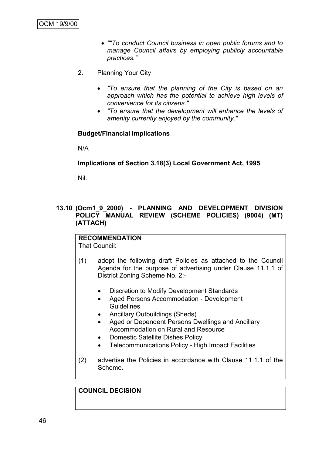- *""To conduct Council business in open public forums and to manage Council affairs by employing publicly accountable practices."*
- 2. Planning Your City
	- *"To ensure that the planning of the City is based on an approach which has the potential to achieve high levels of convenience for its citizens."*
	- *"To ensure that the development will enhance the levels of amenity currently enjoyed by the community."*

# **Budget/Financial Implications**

N/A

# **Implications of Section 3.18(3) Local Government Act, 1995**

Nil.

# **13.10 (Ocm1\_9\_2000) - PLANNING AND DEVELOPMENT DIVISION POLICY MANUAL REVIEW (SCHEME POLICIES) (9004) (MT) (ATTACH)**

#### **RECOMMENDATION** That Council:

- (1) adopt the following draft Policies as attached to the Council Agenda for the purpose of advertising under Clause 11.1.1 of District Zoning Scheme No. 2:-
	- Discretion to Modify Development Standards
	- Aged Persons Accommodation Development **Guidelines**
	- Ancillary Outbuildings (Sheds)
	- Aged or Dependent Persons Dwellings and Ancillary Accommodation on Rural and Resource
	- Domestic Satellite Dishes Policy
	- Telecommunications Policy High Impact Facilities
- (2) advertise the Policies in accordance with Clause 11.1.1 of the Scheme.

# **COUNCIL DECISION**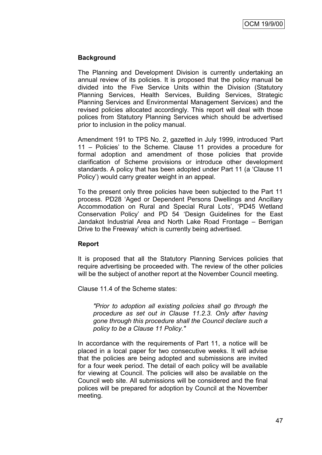# **Background**

The Planning and Development Division is currently undertaking an annual review of its policies. It is proposed that the policy manual be divided into the Five Service Units within the Division (Statutory Planning Services, Health Services, Building Services, Strategic Planning Services and Environmental Management Services) and the revised policies allocated accordingly. This report will deal with those polices from Statutory Planning Services which should be advertised prior to inclusion in the policy manual.

Amendment 191 to TPS No. 2, gazetted in July 1999, introduced "Part 11 – Policies" to the Scheme. Clause 11 provides a procedure for formal adoption and amendment of those policies that provide clarification of Scheme provisions or introduce other development standards. A policy that has been adopted under Part 11 (a "Clause 11 Policy") would carry greater weight in an appeal.

To the present only three policies have been subjected to the Part 11 process. PD28 "Aged or Dependent Persons Dwellings and Ancillary Accommodation on Rural and Special Rural Lots', 'PD45 Wetland Conservation Policy" and PD 54 "Design Guidelines for the East Jandakot Industrial Area and North Lake Road Frontage – Berrigan Drive to the Freeway" which is currently being advertised.

# **Report**

It is proposed that all the Statutory Planning Services policies that require advertising be proceeded with. The review of the other policies will be the subject of another report at the November Council meeting.

Clause 11.4 of the Scheme states:

*"Prior to adoption all existing policies shall go through the procedure as set out in Clause 11.2.3. Only after having gone through this procedure shall the Council declare such a policy to be a Clause 11 Policy."*

In accordance with the requirements of Part 11, a notice will be placed in a local paper for two consecutive weeks. It will advise that the policies are being adopted and submissions are invited for a four week period. The detail of each policy will be available for viewing at Council. The policies will also be available on the Council web site. All submissions will be considered and the final polices will be prepared for adoption by Council at the November meeting.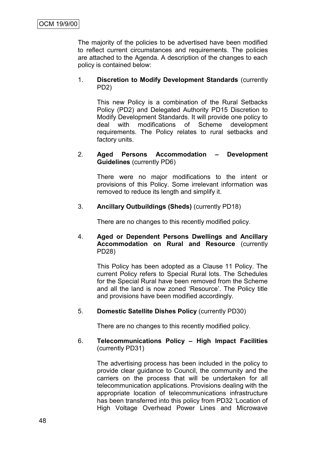The majority of the policies to be advertised have been modified to reflect current circumstances and requirements. The policies are attached to the Agenda. A description of the changes to each policy is contained below:

#### 1. **Discretion to Modify Development Standards** (currently PD2)

This new Policy is a combination of the Rural Setbacks Policy (PD2) and Delegated Authority PD15 Discretion to Modify Development Standards. It will provide one policy to deal with modifications of Scheme development requirements. The Policy relates to rural setbacks and factory units.

#### 2. **Aged Persons Accommodation – Development Guidelines** (currently PD6)

There were no major modifications to the intent or provisions of this Policy. Some irrelevant information was removed to reduce its length and simplify it.

# 3. **Ancillary Outbuildings (Sheds)** (currently PD18)

There are no changes to this recently modified policy.

# 4. **Aged or Dependent Persons Dwellings and Ancillary Accommodation on Rural and Resource** (currently PD28)

This Policy has been adopted as a Clause 11 Policy. The current Policy refers to Special Rural lots. The Schedules for the Special Rural have been removed from the Scheme and all the land is now zoned "Resource". The Policy title and provisions have been modified accordingly.

# 5. **Domestic Satellite Dishes Policy** (currently PD30)

There are no changes to this recently modified policy.

# 6. **Telecommunications Policy – High Impact Facilities** (currently PD31)

The advertising process has been included in the policy to provide clear guidance to Council, the community and the carriers on the process that will be undertaken for all telecommunication applications. Provisions dealing with the appropriate location of telecommunications infrastructure has been transferred into this policy from PD32 "Location of High Voltage Overhead Power Lines and Microwave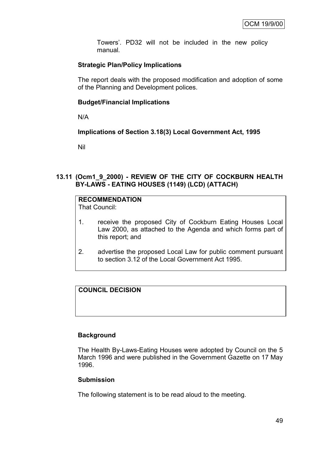Towers". PD32 will not be included in the new policy manual*.*

# **Strategic Plan/Policy Implications**

The report deals with the proposed modification and adoption of some of the Planning and Development polices.

# **Budget/Financial Implications**

N/A

# **Implications of Section 3.18(3) Local Government Act, 1995**

Nil

# **13.11 (Ocm1\_9\_2000) - REVIEW OF THE CITY OF COCKBURN HEALTH BY-LAWS - EATING HOUSES (1149) (LCD) (ATTACH)**

# **RECOMMENDATION**

That Council:

- 1. receive the proposed City of Cockburn Eating Houses Local Law 2000, as attached to the Agenda and which forms part of this report; and
- 2. advertise the proposed Local Law for public comment pursuant to section 3.12 of the Local Government Act 1995.

# **COUNCIL DECISION**

# **Background**

The Health By-Laws-Eating Houses were adopted by Council on the 5 March 1996 and were published in the Government Gazette on 17 May 1996.

# **Submission**

The following statement is to be read aloud to the meeting.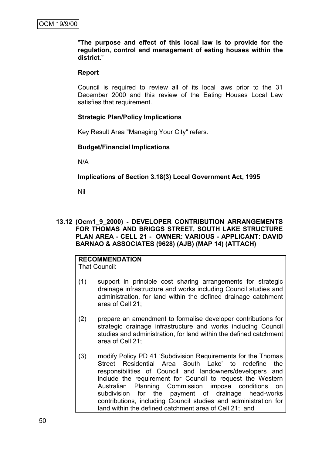"**The purpose and effect of this local law is to provide for the regulation, control and management of eating houses within the district.**"

#### **Report**

Council is required to review all of its local laws prior to the 31 December 2000 and this review of the Eating Houses Local Law satisfies that requirement.

#### **Strategic Plan/Policy Implications**

Key Result Area "Managing Your City" refers.

#### **Budget/Financial Implications**

N/A

# **Implications of Section 3.18(3) Local Government Act, 1995**

Nil

#### **13.12 (Ocm1\_9\_2000) - DEVELOPER CONTRIBUTION ARRANGEMENTS FOR THOMAS AND BRIGGS STREET, SOUTH LAKE STRUCTURE PLAN AREA - CELL 21 - OWNER: VARIOUS - APPLICANT: DAVID BARNAO & ASSOCIATES (9628) (AJB) (MAP 14) (ATTACH)**

# **RECOMMENDATION**

That Council:

- (1) support in principle cost sharing arrangements for strategic drainage infrastructure and works including Council studies and administration, for land within the defined drainage catchment area of Cell 21;
- (2) prepare an amendment to formalise developer contributions for strategic drainage infrastructure and works including Council studies and administration, for land within the defined catchment area of Cell 21;
- (3) modify Policy PD 41 "Subdivision Requirements for the Thomas Street Residential Area South Lake' to redefine the responsibilities of Council and landowners/developers and include the requirement for Council to request the Western Australian Planning Commission impose conditions on subdivision for the payment of drainage head-works contributions, including Council studies and administration for land within the defined catchment area of Cell 21; and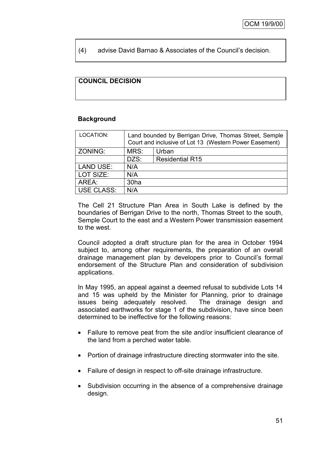# (4) advise David Barnao & Associates of the Council"s decision.

# **COUNCIL DECISION**

#### **Background**

| LOCATION:         | Land bounded by Berrigan Drive, Thomas Street, Semple<br>Court and inclusive of Lot 13 (Western Power Easement) |                        |  |
|-------------------|-----------------------------------------------------------------------------------------------------------------|------------------------|--|
| ZONING:           | MRS:                                                                                                            | Urban                  |  |
|                   | DZS:                                                                                                            | <b>Residential R15</b> |  |
| <b>LAND USE:</b>  | N/A                                                                                                             |                        |  |
| LOT SIZE:         | N/A                                                                                                             |                        |  |
| AREA:             | 30ha                                                                                                            |                        |  |
| <b>USE CLASS:</b> | N/A                                                                                                             |                        |  |
|                   |                                                                                                                 |                        |  |

The Cell 21 Structure Plan Area in South Lake is defined by the boundaries of Berrigan Drive to the north, Thomas Street to the south, Semple Court to the east and a Western Power transmission easement to the west.

Council adopted a draft structure plan for the area in October 1994 subject to, among other requirements, the preparation of an overall drainage management plan by developers prior to Council"s formal endorsement of the Structure Plan and consideration of subdivision applications.

In May 1995, an appeal against a deemed refusal to subdivide Lots 14 and 15 was upheld by the Minister for Planning, prior to drainage issues being adequately resolved. The drainage design and associated earthworks for stage 1 of the subdivision, have since been determined to be ineffective for the following reasons:

- Failure to remove peat from the site and/or insufficient clearance of the land from a perched water table.
- Portion of drainage infrastructure directing stormwater into the site.
- Failure of design in respect to off-site drainage infrastructure.
- Subdivision occurring in the absence of a comprehensive drainage design.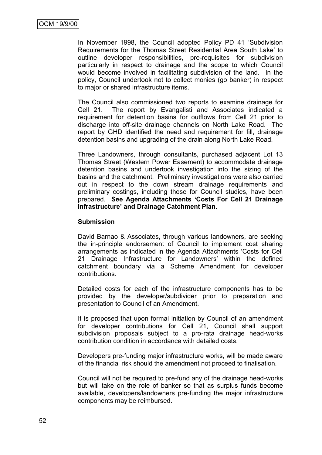In November 1998, the Council adopted Policy PD 41 "Subdivision Requirements for the Thomas Street Residential Area South Lake" to outline developer responsibilities, pre-requisites for subdivision particularly in respect to drainage and the scope to which Council would become involved in facilitating subdivision of the land. In the policy, Council undertook not to collect monies (go banker) in respect to major or shared infrastructure items.

The Council also commissioned two reports to examine drainage for Cell 21. The report by Evangalisti and Associates indicated a requirement for detention basins for outflows from Cell 21 prior to discharge into off-site drainage channels on North Lake Road. The report by GHD identified the need and requirement for fill, drainage detention basins and upgrading of the drain along North Lake Road.

Three Landowners, through consultants, purchased adjacent Lot 13 Thomas Street (Western Power Easement) to accommodate drainage detention basins and undertook investigation into the sizing of the basins and the catchment. Preliminary investigations were also carried out in respect to the down stream drainage requirements and preliminary costings, including those for Council studies, have been prepared. **See Agenda Attachments 'Costs For Cell 21 Drainage Infrastructure' and Drainage Catchment Plan.**

# **Submission**

David Barnao & Associates, through various landowners, are seeking the in-principle endorsement of Council to implement cost sharing arrangements as indicated in the Agenda Attachments "Costs for Cell 21 Drainage Infrastructure for Landowners' within the defined catchment boundary via a Scheme Amendment for developer contributions.

Detailed costs for each of the infrastructure components has to be provided by the developer/subdivider prior to preparation and presentation to Council of an Amendment.

It is proposed that upon formal initiation by Council of an amendment for developer contributions for Cell 21, Council shall support subdivision proposals subject to a pro-rata drainage head-works contribution condition in accordance with detailed costs.

Developers pre-funding major infrastructure works, will be made aware of the financial risk should the amendment not proceed to finalisation.

Council will not be required to pre-fund any of the drainage head-works but will take on the role of banker so that as surplus funds become available, developers/landowners pre-funding the major infrastructure components may be reimbursed.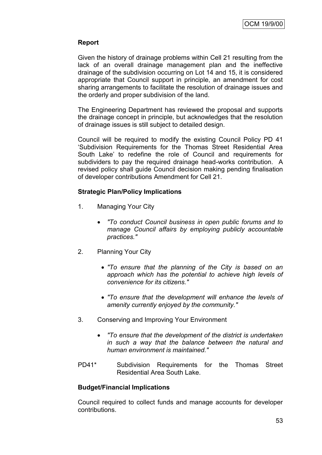# **Report**

Given the history of drainage problems within Cell 21 resulting from the lack of an overall drainage management plan and the ineffective drainage of the subdivision occurring on Lot 14 and 15, it is considered appropriate that Council support in principle, an amendment for cost sharing arrangements to facilitate the resolution of drainage issues and the orderly and proper subdivision of the land.

The Engineering Department has reviewed the proposal and supports the drainage concept in principle, but acknowledges that the resolution of drainage issues is still subject to detailed design.

Council will be required to modify the existing Council Policy PD 41 "Subdivision Requirements for the Thomas Street Residential Area South Lake" to redefine the role of Council and requirements for subdividers to pay the required drainage head-works contribution. A revised policy shall guide Council decision making pending finalisation of developer contributions Amendment for Cell 21.

# **Strategic Plan/Policy Implications**

- 1. Managing Your City
	- *"To conduct Council business in open public forums and to manage Council affairs by employing publicly accountable practices."*
- 2. Planning Your City
	- *"To ensure that the planning of the City is based on an approach which has the potential to achieve high levels of convenience for its citizens."*
	- *"To ensure that the development will enhance the levels of amenity currently enjoyed by the community."*
- 3. Conserving and Improving Your Environment
	- *"To ensure that the development of the district is undertaken in such a way that the balance between the natural and human environment is maintained."*
- PD41\* Subdivision Requirements for the Thomas Street Residential Area South Lake.

# **Budget/Financial Implications**

Council required to collect funds and manage accounts for developer contributions.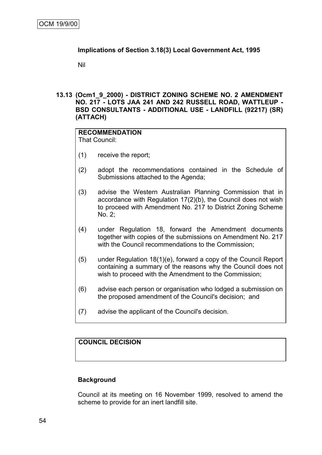# **Implications of Section 3.18(3) Local Government Act, 1995**

Nil

#### **13.13 (Ocm1\_9\_2000) - DISTRICT ZONING SCHEME NO. 2 AMENDMENT NO. 217 - LOTS JAA 241 AND 242 RUSSELL ROAD, WATTLEUP - BSD CONSULTANTS - ADDITIONAL USE - LANDFILL (92217) (SR) (ATTACH)**

#### **RECOMMENDATION** That Council:

- (1) receive the report;
- (2) adopt the recommendations contained in the Schedule of Submissions attached to the Agenda;
- (3) advise the Western Australian Planning Commission that in accordance with Regulation 17(2)(b), the Council does not wish to proceed with Amendment No. 217 to District Zoning Scheme No. 2;
- (4) under Regulation 18, forward the Amendment documents together with copies of the submissions on Amendment No. 217 with the Council recommendations to the Commission;
- (5) under Regulation 18(1)(e), forward a copy of the Council Report containing a summary of the reasons why the Council does not wish to proceed with the Amendment to the Commission;
- (6) advise each person or organisation who lodged a submission on the proposed amendment of the Council's decision; and
- (7) advise the applicant of the Council's decision.

# **COUNCIL DECISION**

# **Background**

Council at its meeting on 16 November 1999, resolved to amend the scheme to provide for an inert landfill site.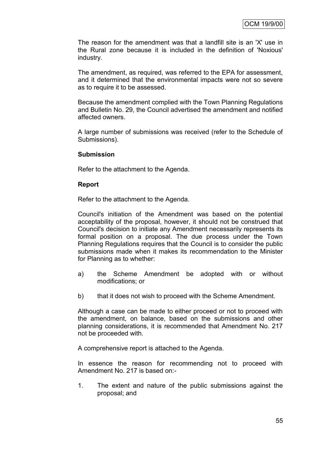The reason for the amendment was that a landfill site is an 'X' use in the Rural zone because it is included in the definition of 'Noxious' industry.

The amendment, as required, was referred to the EPA for assessment, and it determined that the environmental impacts were not so severe as to require it to be assessed.

Because the amendment complied with the Town Planning Regulations and Bulletin No. 29, the Council advertised the amendment and notified affected owners.

A large number of submissions was received (refer to the Schedule of Submissions).

#### **Submission**

Refer to the attachment to the Agenda.

#### **Report**

Refer to the attachment to the Agenda.

Council's initiation of the Amendment was based on the potential acceptability of the proposal, however, it should not be construed that Council's decision to initiate any Amendment necessarily represents its formal position on a proposal. The due process under the Town Planning Regulations requires that the Council is to consider the public submissions made when it makes its recommendation to the Minister for Planning as to whether:

- a) the Scheme Amendment be adopted with or without modifications; or
- b) that it does not wish to proceed with the Scheme Amendment.

Although a case can be made to either proceed or not to proceed with the amendment, on balance, based on the submissions and other planning considerations, it is recommended that Amendment No. 217 not be proceeded with.

A comprehensive report is attached to the Agenda.

In essence the reason for recommending not to proceed with Amendment No. 217 is based on:-

1. The extent and nature of the public submissions against the proposal; and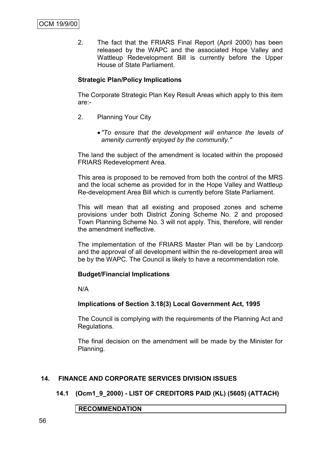2. The fact that the FRIARS Final Report (April 2000) has been released by the WAPC and the associated Hope Valley and Wattleup Redevelopment Bill is currently before the Upper House of State Parliament.

# **Strategic Plan/Policy Implications**

The Corporate Strategic Plan Key Result Areas which apply to this item are:-

- 2. Planning Your City
	- *"To ensure that the development will enhance the levels of amenity currently enjoyed by the community."*

The land the subject of the amendment is located within the proposed FRIARS Redevelopment Area.

This area is proposed to be removed from both the control of the MRS and the local scheme as provided for in the Hope Valley and Wattleup Re-development Area Bill which is currently before State Parliament.

This will mean that all existing and proposed zones and scheme provisions under both District Zoning Scheme No. 2 and proposed Town Planning Scheme No. 3 will not apply. This, therefore, will render the amendment ineffective.

The implementation of the FRIARS Master Plan will be by Landcorp and the approval of all development within the re-development area will be by the WAPC. The Council is likely to have a recommendation role.

# **Budget/Financial Implications**

N/A

# **Implications of Section 3.18(3) Local Government Act, 1995**

The Council is complying with the requirements of the Planning Act and Regulations.

The final decision on the amendment will be made by the Minister for Planning.

# **14. FINANCE AND CORPORATE SERVICES DIVISION ISSUES**

**14.1 (Ocm1\_9\_2000) - LIST OF CREDITORS PAID (KL) (5605) (ATTACH)**

**RECOMMENDATION**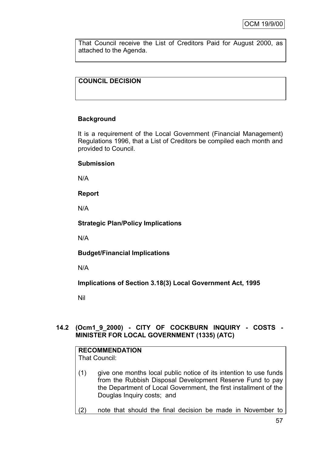That Council receive the List of Creditors Paid for August 2000, as attached to the Agenda.

# **COUNCIL DECISION**

# **Background**

It is a requirement of the Local Government (Financial Management) Regulations 1996, that a List of Creditors be compiled each month and provided to Council.

#### **Submission**

N/A

**Report**

N/A

**Strategic Plan/Policy Implications**

N/A

**Budget/Financial Implications**

N/A

**Implications of Section 3.18(3) Local Government Act, 1995**

Nil

# **14.2 (Ocm1\_9\_2000) - CITY OF COCKBURN INQUIRY - COSTS - MINISTER FOR LOCAL GOVERNMENT (1335) (ATC)**

# **RECOMMENDATION**

That Council:

- (1) give one months local public notice of its intention to use funds from the Rubbish Disposal Development Reserve Fund to pay the Department of Local Government, the first installment of the Douglas Inquiry costs; and
- (2) note that should the final decision be made in November to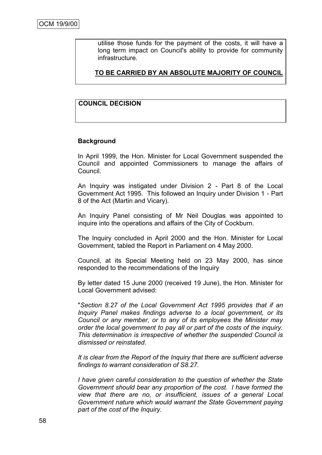utilise those funds for the payment of the costs, it will have a long term impact on Council's ability to provide for community infrastructure.

**TO BE CARRIED BY AN ABSOLUTE MAJORITY OF COUNCIL**

# **COUNCIL DECISION**

#### **Background**

In April 1999, the Hon. Minister for Local Government suspended the Council and appointed Commissioners to manage the affairs of Council.

An Inquiry was instigated under Division 2 - Part 8 of the Local Government Act 1995. This followed an Inquiry under Division 1 - Part 8 of the Act (Martin and Vicary).

An Inquiry Panel consisting of Mr Neil Douglas was appointed to inquire into the operations and affairs of the City of Cockburn.

The Inquiry concluded in April 2000 and the Hon. Minister for Local Government, tabled the Report in Parliament on 4 May 2000.

Council, at its Special Meeting held on 23 May 2000, has since responded to the recommendations of the Inquiry

By letter dated 15 June 2000 (received 19 June), the Hon. Minister for Local Government advised:

"*Section 8.27 of the Local Government Act 1995 provides that if an Inquiry Panel makes findings adverse to a local government, or its Council or any member, or to any of its employees the Minister may order the local government to pay all or part of the costs of the inquiry. This determination is irrespective of whether the suspended Council is dismissed or reinstated.*

*It is clear from the Report of the Inquiry that there are sufficient adverse findings to warrant consideration of S8.27.*

*I have given careful consideration to the question of whether the State Government should bear any proportion of the cost. I have formed the view that there are no, or insufficient, issues of a general Local Government nature which would warrant the State Government paying part of the cost of the Inquiry.*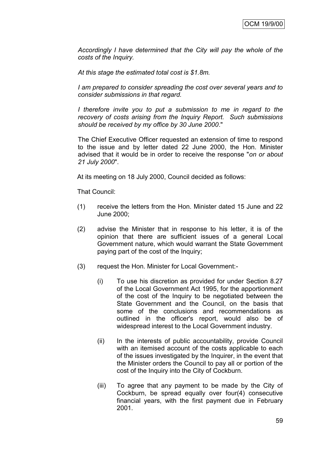*Accordingly I have determined that the City will pay the whole of the costs of the Inquiry.*

*At this stage the estimated total cost is \$1.8m.*

*I am prepared to consider spreading the cost over several years and to consider submissions in that regard.*

*I* therefore invite you to put a submission to me in regard to the *recovery of costs arising from the Inquiry Report. Such submissions should be received by my office by 30 June 2000*."

The Chief Executive Officer requested an extension of time to respond to the issue and by letter dated 22 June 2000, the Hon. Minister advised that it would be in order to receive the response "*on or about 21 July 2000*".

At its meeting on 18 July 2000, Council decided as follows:

That Council:

- (1) receive the letters from the Hon. Minister dated 15 June and 22 June 2000;
- (2) advise the Minister that in response to his letter, it is of the opinion that there are sufficient issues of a general Local Government nature, which would warrant the State Government paying part of the cost of the Inquiry;
- (3) request the Hon. Minister for Local Government:-
	- (i) To use his discretion as provided for under Section 8.27 of the Local Government Act 1995, for the apportionment of the cost of the Inquiry to be negotiated between the State Government and the Council, on the basis that some of the conclusions and recommendations as outlined in the officer's report, would also be of widespread interest to the Local Government industry.
	- (ii) In the interests of public accountability, provide Council with an itemised account of the costs applicable to each of the issues investigated by the Inquirer, in the event that the Minister orders the Council to pay all or portion of the cost of the Inquiry into the City of Cockburn.
	- (iii) To agree that any payment to be made by the City of Cockburn, be spread equally over four(4) consecutive financial years, with the first payment due in February 2001.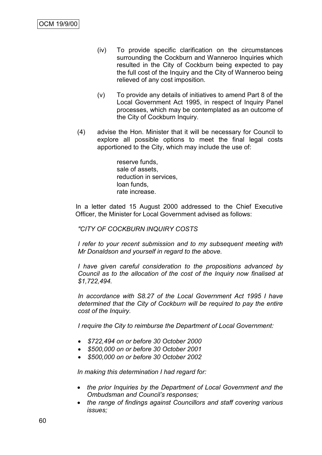- (iv) To provide specific clarification on the circumstances surrounding the Cockburn and Wanneroo Inquiries which resulted in the City of Cockburn being expected to pay the full cost of the Inquiry and the City of Wanneroo being relieved of any cost imposition.
- (v) To provide any details of initiatives to amend Part 8 of the Local Government Act 1995, in respect of Inquiry Panel processes, which may be contemplated as an outcome of the City of Cockburn Inquiry.
- (4) advise the Hon. Minister that it will be necessary for Council to explore all possible options to meet the final legal costs apportioned to the City, which may include the use of:

reserve funds, sale of assets, reduction in services, loan funds, rate increase.

In a letter dated 15 August 2000 addressed to the Chief Executive Officer, the Minister for Local Government advised as follows:

#### *"CITY OF COCKBURN INQUIRY COSTS*

*I refer to your recent submission and to my subsequent meeting with Mr Donaldson and yourself in regard to the above.*

*I have given careful consideration to the propositions advanced by Council as to the allocation of the cost of the Inquiry now finalised at \$1,722,494.*

*In accordance with S8.27 of the Local Government Act 1995 I have determined that the City of Cockburn will be required to pay the entire cost of the Inquiry.*

*I require the City to reimburse the Department of Local Government:*

- *\$722,494 on or before 30 October 2000*
- *\$500,000 on or before 30 October 2001*
- *\$500,000 on or before 30 October 2002*

*In making this determination I had regard for:*

- *the prior Inquiries by the Department of Local Government and the Ombudsman and Council"s responses;*
- *the range of findings against Councillors and staff covering various issues;*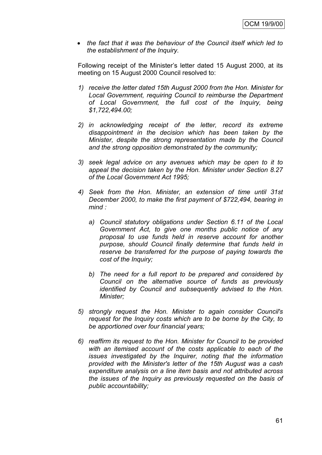*the fact that it was the behaviour of the Council itself which led to the establishment of the Inquiry.*

Following receipt of the Minister"s letter dated 15 August 2000, at its meeting on 15 August 2000 Council resolved to:

- *1) receive the letter dated 15th August 2000 from the Hon. Minister for Local Government, requiring Council to reimburse the Department of Local Government, the full cost of the Inquiry, being \$1,722,494.00;*
- *2) in acknowledging receipt of the letter, record its extreme disappointment in the decision which has been taken by the Minister, despite the strong representation made by the Council and the strong opposition demonstrated by the community;*
- *3) seek legal advice on any avenues which may be open to it to appeal the decision taken by the Hon. Minister under Section 8.27 of the Local Government Act 1995;*
- *4) Seek from the Hon. Minister, an extension of time until 31st December 2000, to make the first payment of \$722,494, bearing in mind :*
	- *a) Council statutory obligations under Section 6.11 of the Local Government Act, to give one months public notice of any proposal to use funds held in reserve account for another purpose, should Council finally determine that funds held in reserve be transferred for the purpose of paying towards the cost of the Inquiry;*
	- *b) The need for a full report to be prepared and considered by Council on the alternative source of funds as previously identified by Council and subsequently advised to the Hon. Minister;*
- *5) strongly request the Hon. Minister to again consider Council's request for the Inquiry costs which are to be borne by the City, to be apportioned over four financial years;*
- *6) reaffirm its request to the Hon. Minister for Council to be provided with an itemised account of the costs applicable to each of the issues investigated by the Inquirer, noting that the information provided with the Minister's letter of the 15th August was a cash expenditure analysis on a line item basis and not attributed across the issues of the Inquiry as previously requested on the basis of public accountability;*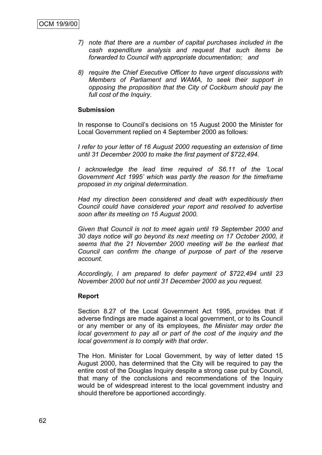- *7) note that there are a number of capital purchases included in the cash expenditure analysis and request that such items be forwarded to Council with appropriate documentation; and*
- *8) require the Chief Executive Officer to have urgent discussions with Members of Parliament and WAMA, to seek their support in opposing the proposition that the City of Cockburn should pay the full cost of the Inquiry.*

#### **Submission**

In response to Council"s decisions on 15 August 2000 the Minister for Local Government replied on 4 September 2000 as follows:

*I refer to your letter of 16 August 2000 requesting an extension of time until 31 December 2000 to make the first payment of \$722,494.*

*I acknowledge the lead time required of S6.11 of the "Local Government Act 1995" which was partly the reason for the timeframe proposed in my original determination.*

*Had my direction been considered and dealt with expeditiously then Council could have considered your report and resolved to advertise soon after its meeting on 15 August 2000.*

*Given that Council is not to meet again until 19 September 2000 and 30 days notice will go beyond its next meeting on 17 October 2000, it seems that the 21 November 2000 meeting will be the earliest that Council can confirm the change of purpose of part of the reserve account.*

*Accordingly, I am prepared to defer payment of \$722,494 until 23 November 2000 but not until 31 December 2000 as you request.*

#### **Report**

Section 8.27 of the Local Government Act 1995, provides that if adverse findings are made against a local government, or to its Council or any member or any of its employees, *the Minister may order the local government to pay all or part of the cost of the inquiry and the local government is to comply with that order*.

The Hon. Minister for Local Government, by way of letter dated 15 August 2000, has determined that the City will be required to pay the entire cost of the Douglas Inquiry despite a strong case put by Council, that many of the conclusions and recommendations of the Inquiry would be of widespread interest to the local government industry and should therefore be apportioned accordingly.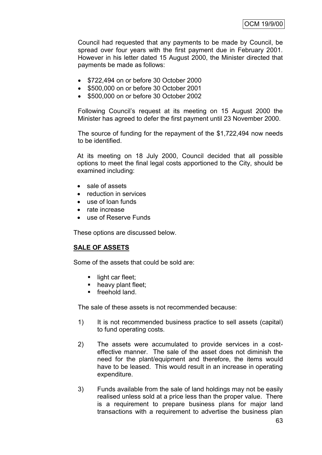Council had requested that any payments to be made by Council, be spread over four years with the first payment due in February 2001. However in his letter dated 15 August 2000, the Minister directed that payments be made as follows:

- \$722,494 on or before 30 October 2000
- \$500,000 on or before 30 October 2001
- **\$500,000 on or before 30 October 2002**

Following Council"s request at its meeting on 15 August 2000 the Minister has agreed to defer the first payment until 23 November 2000.

The source of funding for the repayment of the \$1,722,494 now needs to be identified.

At its meeting on 18 July 2000, Council decided that all possible options to meet the final legal costs apportioned to the City, should be examined including:

- sale of assets
- reduction in services
- use of loan funds
- rate increase
- use of Reserve Funds

These options are discussed below.

# **SALE OF ASSETS**

Some of the assets that could be sold are:

- $\blacksquare$  light car fleet;
- heavy plant fleet;
- **freehold land.**

The sale of these assets is not recommended because:

- 1) It is not recommended business practice to sell assets (capital) to fund operating costs.
- 2) The assets were accumulated to provide services in a costeffective manner. The sale of the asset does not diminish the need for the plant/equipment and therefore, the items would have to be leased. This would result in an increase in operating expenditure.
- 3) Funds available from the sale of land holdings may not be easily realised unless sold at a price less than the proper value. There is a requirement to prepare business plans for major land transactions with a requirement to advertise the business plan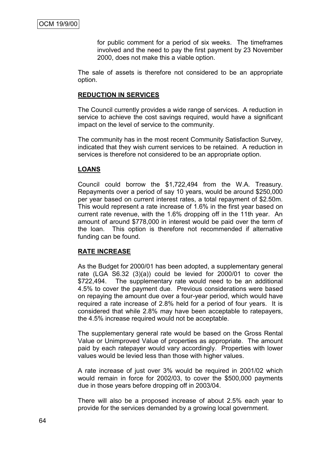for public comment for a period of six weeks. The timeframes involved and the need to pay the first payment by 23 November 2000, does not make this a viable option.

The sale of assets is therefore not considered to be an appropriate option.

#### **REDUCTION IN SERVICES**

The Council currently provides a wide range of services. A reduction in service to achieve the cost savings required, would have a significant impact on the level of service to the community.

The community has in the most recent Community Satisfaction Survey, indicated that they wish current services to be retained. A reduction in services is therefore not considered to be an appropriate option.

#### **LOANS**

Council could borrow the \$1,722,494 from the W.A. Treasury. Repayments over a period of say 10 years, would be around \$250,000 per year based on current interest rates, a total repayment of \$2.50m. This would represent a rate increase of 1.6% in the first year based on current rate revenue, with the 1.6% dropping off in the 11th year. An amount of around \$778,000 in interest would be paid over the term of the loan. This option is therefore not recommended if alternative funding can be found.

#### **RATE INCREASE**

As the Budget for 2000/01 has been adopted, a supplementary general rate (LGA S6.32 (3)(a)) could be levied for 2000/01 to cover the \$722,494. The supplementary rate would need to be an additional 4.5% to cover the payment due. Previous considerations were based on repaying the amount due over a four-year period, which would have required a rate increase of 2.8% held for a period of four years. It is considered that while 2.8% may have been acceptable to ratepayers, the 4.5% increase required would not be acceptable.

The supplementary general rate would be based on the Gross Rental Value or Unimproved Value of properties as appropriate. The amount paid by each ratepayer would vary accordingly. Properties with lower values would be levied less than those with higher values.

A rate increase of just over 3% would be required in 2001/02 which would remain in force for 2002/03, to cover the \$500,000 payments due in those years before dropping off in 2003/04.

There will also be a proposed increase of about 2.5% each year to provide for the services demanded by a growing local government.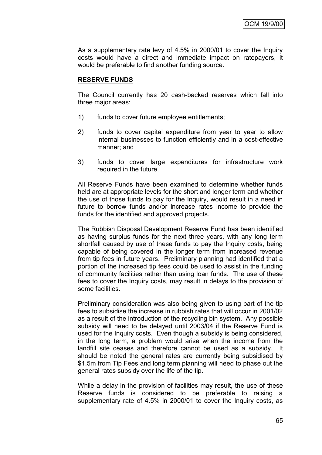As a supplementary rate levy of 4.5% in 2000/01 to cover the Inquiry costs would have a direct and immediate impact on ratepayers, it would be preferable to find another funding source.

#### **RESERVE FUNDS**

The Council currently has 20 cash-backed reserves which fall into three major areas:

- 1) funds to cover future employee entitlements;
- 2) funds to cover capital expenditure from year to year to allow internal businesses to function efficiently and in a cost-effective manner; and
- 3) funds to cover large expenditures for infrastructure work required in the future.

All Reserve Funds have been examined to determine whether funds held are at appropriate levels for the short and longer term and whether the use of those funds to pay for the Inquiry, would result in a need in future to borrow funds and/or increase rates income to provide the funds for the identified and approved projects.

The Rubbish Disposal Development Reserve Fund has been identified as having surplus funds for the next three years, with any long term shortfall caused by use of these funds to pay the Inquiry costs, being capable of being covered in the longer term from increased revenue from tip fees in future years. Preliminary planning had identified that a portion of the increased tip fees could be used to assist in the funding of community facilities rather than using loan funds. The use of these fees to cover the Inquiry costs, may result in delays to the provision of some facilities.

Preliminary consideration was also being given to using part of the tip fees to subsidise the increase in rubbish rates that will occur in 2001/02 as a result of the introduction of the recycling bin system. Any possible subsidy will need to be delayed until 2003/04 if the Reserve Fund is used for the Inquiry costs. Even though a subsidy is being considered, in the long term, a problem would arise when the income from the landfill site ceases and therefore cannot be used as a subsidy. It should be noted the general rates are currently being subsidised by \$1.5m from Tip Fees and long term planning will need to phase out the general rates subsidy over the life of the tip.

While a delay in the provision of facilities may result, the use of these Reserve funds is considered to be preferable to raising a supplementary rate of 4.5% in 2000/01 to cover the Inquiry costs, as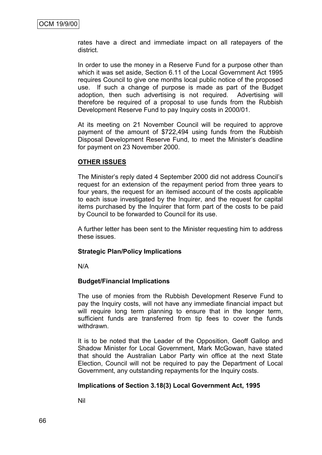rates have a direct and immediate impact on all ratepayers of the district.

In order to use the money in a Reserve Fund for a purpose other than which it was set aside, Section 6.11 of the Local Government Act 1995 requires Council to give one months local public notice of the proposed use. If such a change of purpose is made as part of the Budget adoption, then such advertising is not required. Advertising will therefore be required of a proposal to use funds from the Rubbish Development Reserve Fund to pay Inquiry costs in 2000/01.

At its meeting on 21 November Council will be required to approve payment of the amount of \$722,494 using funds from the Rubbish Disposal Development Reserve Fund, to meet the Minister"s deadline for payment on 23 November 2000.

#### **OTHER ISSUES**

The Minister"s reply dated 4 September 2000 did not address Council"s request for an extension of the repayment period from three years to four years, the request for an itemised account of the costs applicable to each issue investigated by the Inquirer, and the request for capital items purchased by the Inquirer that form part of the costs to be paid by Council to be forwarded to Council for its use.

A further letter has been sent to the Minister requesting him to address these issues.

#### **Strategic Plan/Policy Implications**

N/A

# **Budget/Financial Implications**

The use of monies from the Rubbish Development Reserve Fund to pay the Inquiry costs, will not have any immediate financial impact but will require long term planning to ensure that in the longer term, sufficient funds are transferred from tip fees to cover the funds withdrawn.

It is to be noted that the Leader of the Opposition, Geoff Gallop and Shadow Minister for Local Government, Mark McGowan, have stated that should the Australian Labor Party win office at the next State Election, Council will not be required to pay the Department of Local Government, any outstanding repayments for the Inquiry costs.

# **Implications of Section 3.18(3) Local Government Act, 1995**

Nil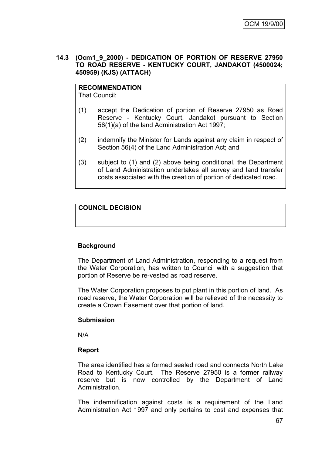#### **14.3 (Ocm1\_9\_2000) - DEDICATION OF PORTION OF RESERVE 27950 TO ROAD RESERVE - KENTUCKY COURT, JANDAKOT (4500024; 450959) (KJS) (ATTACH)**

# **RECOMMENDATION**

That Council:

- (1) accept the Dedication of portion of Reserve 27950 as Road Reserve - Kentucky Court, Jandakot pursuant to Section 56(1)(a) of the land Administration Act 1997;
- (2) indemnify the Minister for Lands against any claim in respect of Section 56(4) of the Land Administration Act; and
- (3) subject to (1) and (2) above being conditional, the Department of Land Administration undertakes all survey and land transfer costs associated with the creation of portion of dedicated road.

## **COUNCIL DECISION**

## **Background**

The Department of Land Administration, responding to a request from the Water Corporation, has written to Council with a suggestion that portion of Reserve be re-vested as road reserve.

The Water Corporation proposes to put plant in this portion of land. As road reserve, the Water Corporation will be relieved of the necessity to create a Crown Easement over that portion of land.

#### **Submission**

N/A

## **Report**

The area identified has a formed sealed road and connects North Lake Road to Kentucky Court. The Reserve 27950 is a former railway reserve but is now controlled by the Department of Land Administration.

The indemnification against costs is a requirement of the Land Administration Act 1997 and only pertains to cost and expenses that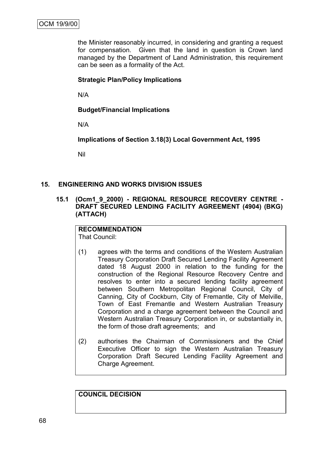the Minister reasonably incurred, in considering and granting a request for compensation. Given that the land in question is Crown land managed by the Department of Land Administration, this requirement can be seen as a formality of the Act.

### **Strategic Plan/Policy Implications**

N/A

### **Budget/Financial Implications**

N/A

**Implications of Section 3.18(3) Local Government Act, 1995**

Nil

#### **15. ENGINEERING AND WORKS DIVISION ISSUES**

**15.1 (Ocm1\_9\_2000) - REGIONAL RESOURCE RECOVERY CENTRE - DRAFT SECURED LENDING FACILITY AGREEMENT (4904) (BKG) (ATTACH)**

#### **RECOMMENDATION** That Council:

- (1) agrees with the terms and conditions of the Western Australian Treasury Corporation Draft Secured Lending Facility Agreement dated 18 August 2000 in relation to the funding for the construction of the Regional Resource Recovery Centre and resolves to enter into a secured lending facility agreement between Southern Metropolitan Regional Council, City of Canning, City of Cockburn, City of Fremantle, City of Melville, Town of East Fremantle and Western Australian Treasury Corporation and a charge agreement between the Council and Western Australian Treasury Corporation in, or substantially in, the form of those draft agreements; and
- (2) authorises the Chairman of Commissioners and the Chief Executive Officer to sign the Western Australian Treasury Corporation Draft Secured Lending Facility Agreement and Charge Agreement.

**COUNCIL DECISION**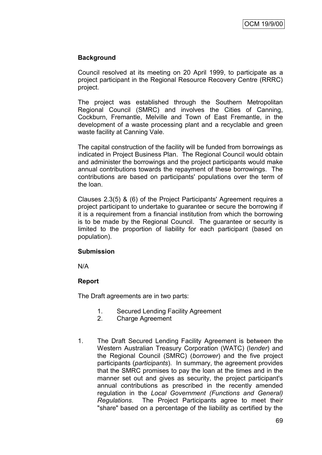## **Background**

Council resolved at its meeting on 20 April 1999, to participate as a project participant in the Regional Resource Recovery Centre (RRRC) project.

The project was established through the Southern Metropolitan Regional Council (SMRC) and involves the Cities of Canning, Cockburn, Fremantle, Melville and Town of East Fremantle, in the development of a waste processing plant and a recyclable and green waste facility at Canning Vale.

The capital construction of the facility will be funded from borrowings as indicated in Project Business Plan. The Regional Council would obtain and administer the borrowings and the project participants would make annual contributions towards the repayment of these borrowings. The contributions are based on participants' populations over the term of the loan.

Clauses 2.3(5) & (6) of the Project Participants' Agreement requires a project participant to undertake to guarantee or secure the borrowing if it is a requirement from a financial institution from which the borrowing is to be made by the Regional Council. The guarantee or security is limited to the proportion of liability for each participant (based on population).

#### **Submission**

N/A

## **Report**

The Draft agreements are in two parts:

- 1. Secured Lending Facility Agreement
- 2. Charge Agreement
- 1. The Draft Secured Lending Facility Agreement is between the Western Australian Treasury Corporation (WATC) (l*ender*) and the Regional Council (SMRC) (*borrower*) and the five project participants (*participants*). In summary, the agreement provides that the SMRC promises to pay the loan at the times and in the manner set out and gives as security, the project participant's annual contributions as prescribed in the recently amended regulation in the *Local Government (Functions and General) Regulations*. The Project Participants agree to meet their "share" based on a percentage of the liability as certified by the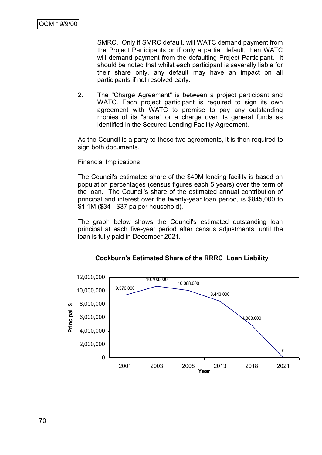SMRC. Only if SMRC default, will WATC demand payment from the Project Participants or if only a partial default, then WATC will demand payment from the defaulting Project Participant. It should be noted that whilst each participant is severally liable for their share only, any default may have an impact on all participants if not resolved early.

2. The "Charge Agreement" is between a project participant and WATC. Each project participant is required to sign its own agreement with WATC to promise to pay any outstanding monies of its "share" or a charge over its general funds as identified in the Secured Lending Facility Agreement.

As the Council is a party to these two agreements, it is then required to sign both documents.

#### Financial Implications

The Council's estimated share of the \$40M lending facility is based on population percentages (census figures each 5 years) over the term of the loan. The Council's share of the estimated annual contribution of principal and interest over the twenty-year loan period, is \$845,000 to \$1.1M (\$34 - \$37 pa per household).

The graph below shows the Council's estimated outstanding loan principal at each five-year period after census adjustments, until the loan is fully paid in December 2021.



**Cockburn's Estimated Share of the RRRC Loan Liability**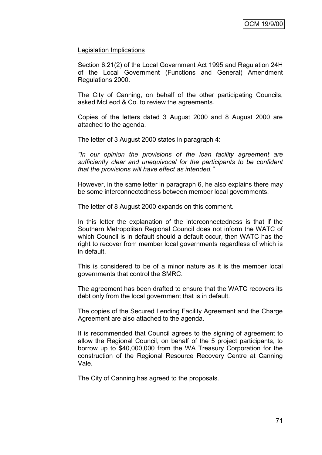#### Legislation Implications

Section 6.21(2) of the Local Government Act 1995 and Regulation 24H of the Local Government (Functions and General) Amendment Regulations 2000.

The City of Canning, on behalf of the other participating Councils, asked McLeod & Co. to review the agreements.

Copies of the letters dated 3 August 2000 and 8 August 2000 are attached to the agenda.

The letter of 3 August 2000 states in paragraph 4:

*"In our opinion the provisions of the loan facility agreement are sufficiently clear and unequivocal for the participants to be confident that the provisions will have effect as intended."*

However, in the same letter in paragraph 6, he also explains there may be some interconnectedness between member local governments.

The letter of 8 August 2000 expands on this comment.

In this letter the explanation of the interconnectedness is that if the Southern Metropolitan Regional Council does not inform the WATC of which Council is in default should a default occur, then WATC has the right to recover from member local governments regardless of which is in default.

This is considered to be of a minor nature as it is the member local governments that control the SMRC.

The agreement has been drafted to ensure that the WATC recovers its debt only from the local government that is in default.

The copies of the Secured Lending Facility Agreement and the Charge Agreement are also attached to the agenda.

It is recommended that Council agrees to the signing of agreement to allow the Regional Council, on behalf of the 5 project participants, to borrow up to \$40,000,000 from the WA Treasury Corporation for the construction of the Regional Resource Recovery Centre at Canning Vale.

The City of Canning has agreed to the proposals.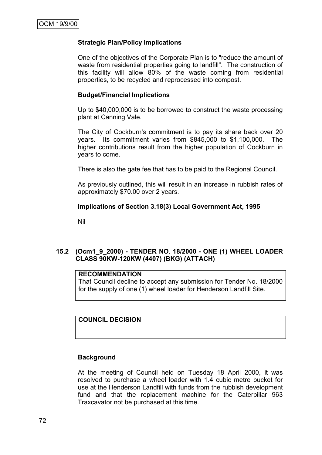#### **Strategic Plan/Policy Implications**

One of the objectives of the Corporate Plan is to "reduce the amount of waste from residential properties going to landfill". The construction of this facility will allow 80% of the waste coming from residential properties, to be recycled and reprocessed into compost.

#### **Budget/Financial Implications**

Up to \$40,000,000 is to be borrowed to construct the waste processing plant at Canning Vale.

The City of Cockburn's commitment is to pay its share back over 20 years. Its commitment varies from \$845,000 to \$1,100,000. The higher contributions result from the higher population of Cockburn in years to come.

There is also the gate fee that has to be paid to the Regional Council.

As previously outlined, this will result in an increase in rubbish rates of approximately \$70.00 over 2 years.

#### **Implications of Section 3.18(3) Local Government Act, 1995**

Nil

## **15.2 (Ocm1\_9\_2000) - TENDER NO. 18/2000 - ONE (1) WHEEL LOADER CLASS 90KW-120KW (4407) (BKG) (ATTACH)**

#### **RECOMMENDATION**

That Council decline to accept any submission for Tender No. 18/2000 for the supply of one (1) wheel loader for Henderson Landfill Site.

### **COUNCIL DECISION**

#### **Background**

At the meeting of Council held on Tuesday 18 April 2000, it was resolved to purchase a wheel loader with 1.4 cubic metre bucket for use at the Henderson Landfill with funds from the rubbish development fund and that the replacement machine for the Caterpillar 963 Traxcavator not be purchased at this time.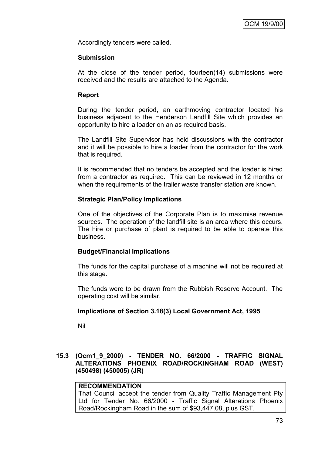Accordingly tenders were called.

#### **Submission**

At the close of the tender period, fourteen(14) submissions were received and the results are attached to the Agenda.

#### **Report**

During the tender period, an earthmoving contractor located his business adjacent to the Henderson Landfill Site which provides an opportunity to hire a loader on an as required basis.

The Landfill Site Supervisor has held discussions with the contractor and it will be possible to hire a loader from the contractor for the work that is required.

It is recommended that no tenders be accepted and the loader is hired from a contractor as required. This can be reviewed in 12 months or when the requirements of the trailer waste transfer station are known.

#### **Strategic Plan/Policy Implications**

One of the objectives of the Corporate Plan is to maximise revenue sources. The operation of the landfill site is an area where this occurs. The hire or purchase of plant is required to be able to operate this business.

#### **Budget/Financial Implications**

The funds for the capital purchase of a machine will not be required at this stage.

The funds were to be drawn from the Rubbish Reserve Account. The operating cost will be similar.

#### **Implications of Section 3.18(3) Local Government Act, 1995**

Nil

### **15.3 (Ocm1\_9\_2000) - TENDER NO. 66/2000 - TRAFFIC SIGNAL ALTERATIONS PHOENIX ROAD/ROCKINGHAM ROAD (WEST) (450498) (450005) (JR)**

#### **RECOMMENDATION**

That Council accept the tender from Quality Traffic Management Pty Ltd for Tender No. 66/2000 - Traffic Signal Alterations Phoenix Road/Rockingham Road in the sum of \$93,447.08, plus GST.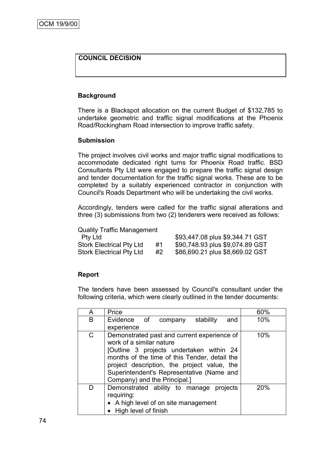## **COUNCIL DECISION**

### **Background**

There is a Blackspot allocation on the current Budget of \$132,785 to undertake geometric and traffic signal modifications at the Phoenix Road/Rockingham Road intersection to improve traffic safety.

#### **Submission**

The project involves civil works and major traffic signal modifications to accommodate dedicated right turns for Phoenix Road traffic. BSD Consultants Pty Ltd were engaged to prepare the traffic signal design and tender documentation for the traffic signal works. These are to be completed by a suitably experienced contractor in conjunction with Council's Roads Department who will be undertaking the civil works.

Accordingly, tenders were called for the traffic signal alterations and three (3) submissions from two (2) tenderers were received as follows:

| <b>Quality Traffic Management</b> |    |                                 |
|-----------------------------------|----|---------------------------------|
| <b>Ptv Ltd</b>                    |    | \$93,447.08 plus \$9,344.71 GST |
| <b>Stork Electrical Pty Ltd</b>   | #1 | \$90,748.93 plus \$9,074.89 GST |
| <b>Stork Electrical Pty Ltd</b>   | #2 | \$86,690.21 plus \$8,669.02 GST |

#### **Report**

The tenders have been assessed by Council's consultant under the following criteria, which were clearly outlined in the tender documents:

| A            | Price                                                                                                                                                                                                                                                                                            | 60% |
|--------------|--------------------------------------------------------------------------------------------------------------------------------------------------------------------------------------------------------------------------------------------------------------------------------------------------|-----|
| B            | Evidence of company<br>stability<br>and                                                                                                                                                                                                                                                          | 10% |
|              | experience                                                                                                                                                                                                                                                                                       |     |
| $\mathsf{C}$ | Demonstrated past and current experience of<br>work of a similar nature<br>[Outline 3 projects undertaken within 24<br>months of the time of this Tender, detail the<br>project description, the project value, the<br>Superintendent's Representative (Name and<br>Company) and the Principal.] | 10% |
| D            | Demonstrated ability to manage<br>projects<br>requiring:<br>• A high level of on site management<br>• High level of finish                                                                                                                                                                       | 20% |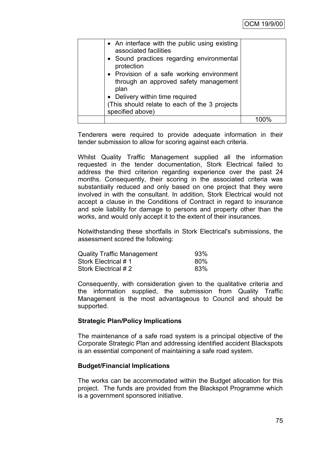| • An interface with the public using existing<br>associated facilities<br>• Sound practices regarding environmental<br>protection<br>• Provision of a safe working environment<br>through an approved safety management<br>plan<br>• Delivery within time required<br>(This should relate to each of the 3 projects)<br>specified above) |  |
|------------------------------------------------------------------------------------------------------------------------------------------------------------------------------------------------------------------------------------------------------------------------------------------------------------------------------------------|--|
|                                                                                                                                                                                                                                                                                                                                          |  |

Tenderers were required to provide adequate information in their tender submission to allow for scoring against each criteria.

Whilst Quality Traffic Management supplied all the information requested in the tender documentation, Stork Electrical failed to address the third criterion regarding experience over the past 24 months. Consequently, their scoring in the associated criteria was substantially reduced and only based on one project that they were involved in with the consultant. In addition, Stork Electrical would not accept a clause in the Conditions of Contract in regard to insurance and sole liability for damage to persons and property other than the works, and would only accept it to the extent of their insurances.

Notwithstanding these shortfalls in Stork Electrical's submissions, the assessment scored the following:

| <b>Quality Traffic Management</b> | 93% |
|-----------------------------------|-----|
| Stork Electrical #1               | 80% |
| Stork Electrical # 2              | 83% |

Consequently, with consideration given to the qualitative criteria and the information supplied, the submission from Quality Traffic Management is the most advantageous to Council and should be supported.

#### **Strategic Plan/Policy Implications**

The maintenance of a safe road system is a principal objective of the Corporate Strategic Plan and addressing identified accident Blackspots is an essential component of maintaining a safe road system.

#### **Budget/Financial Implications**

The works can be accommodated within the Budget allocation for this project. The funds are provided from the Blackspot Programme which is a government sponsored initiative.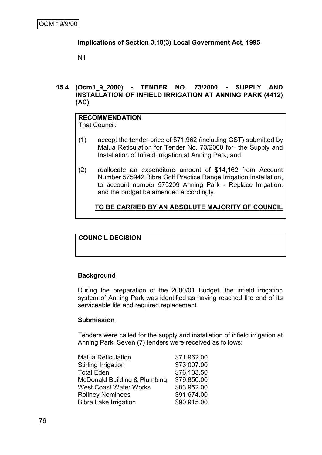### **Implications of Section 3.18(3) Local Government Act, 1995**

Nil

**15.4 (Ocm1\_9\_2000) - TENDER NO. 73/2000 - SUPPLY AND INSTALLATION OF INFIELD IRRIGATION AT ANNING PARK (4412) (AC)**

#### **RECOMMENDATION** That Council:

- (1) accept the tender price of \$71,962 (including GST) submitted by Malua Reticulation for Tender No. 73/2000 for the Supply and Installation of Infield Irrigation at Anning Park; and
- (2) reallocate an expenditure amount of \$14,162 from Account Number 575942 Bibra Golf Practice Range Irrigation Installation, to account number 575209 Anning Park - Replace Irrigation, and the budget be amended accordingly.

## **TO BE CARRIED BY AN ABSOLUTE MAJORITY OF COUNCIL**

#### **COUNCIL DECISION**

#### **Background**

During the preparation of the 2000/01 Budget, the infield irrigation system of Anning Park was identified as having reached the end of its serviceable life and required replacement.

#### **Submission**

Tenders were called for the supply and installation of infield irrigation at Anning Park. Seven (7) tenders were received as follows:

| <b>Malua Reticulation</b>               | \$71,962.00 |
|-----------------------------------------|-------------|
| <b>Stirling Irrigation</b>              | \$73,007.00 |
| <b>Total Eden</b>                       | \$76,103.50 |
| <b>McDonald Building &amp; Plumbing</b> | \$79,850.00 |
| <b>West Coast Water Works</b>           | \$83,952.00 |
| <b>Rollney Nominees</b>                 | \$91,674.00 |
| <b>Bibra Lake Irrigation</b>            | \$90,915.00 |
|                                         |             |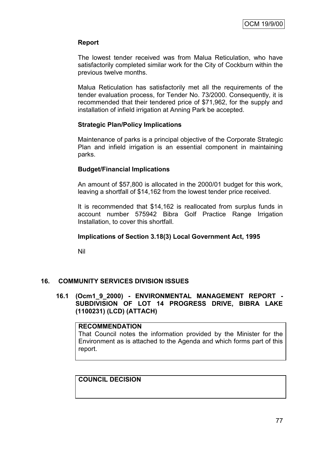### **Report**

The lowest tender received was from Malua Reticulation, who have satisfactorily completed similar work for the City of Cockburn within the previous twelve months.

Malua Reticulation has satisfactorily met all the requirements of the tender evaluation process, for Tender No. 73/2000. Consequently, it is recommended that their tendered price of \$71,962, for the supply and installation of infield irrigation at Anning Park be accepted.

### **Strategic Plan/Policy Implications**

Maintenance of parks is a principal objective of the Corporate Strategic Plan and infield irrigation is an essential component in maintaining parks.

### **Budget/Financial Implications**

An amount of \$57,800 is allocated in the 2000/01 budget for this work, leaving a shortfall of \$14,162 from the lowest tender price received.

It is recommended that \$14,162 is reallocated from surplus funds in account number 575942 Bibra Golf Practice Range Irrigation Installation, to cover this shortfall.

#### **Implications of Section 3.18(3) Local Government Act, 1995**

Nil

#### **16. COMMUNITY SERVICES DIVISION ISSUES**

#### **16.1 (Ocm1\_9\_2000) - ENVIRONMENTAL MANAGEMENT REPORT - SUBDIVISION OF LOT 14 PROGRESS DRIVE, BIBRA LAKE (1100231) (LCD) (ATTACH)**

#### **RECOMMENDATION**

That Council notes the information provided by the Minister for the Environment as is attached to the Agenda and which forms part of this report.

### **COUNCIL DECISION**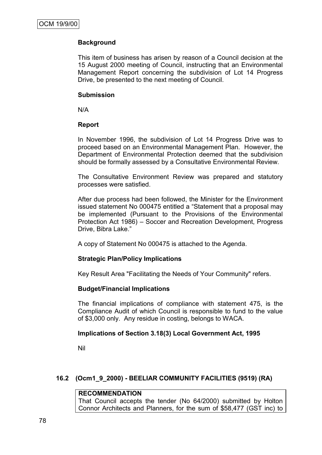## **Background**

This item of business has arisen by reason of a Council decision at the 15 August 2000 meeting of Council, instructing that an Environmental Management Report concerning the subdivision of Lot 14 Progress Drive, be presented to the next meeting of Council.

#### **Submission**

N/A

#### **Report**

In November 1996, the subdivision of Lot 14 Progress Drive was to proceed based on an Environmental Management Plan. However, the Department of Environmental Protection deemed that the subdivision should be formally assessed by a Consultative Environmental Review.

The Consultative Environment Review was prepared and statutory processes were satisfied.

After due process had been followed, the Minister for the Environment issued statement No 000475 entitled a "Statement that a proposal may be implemented (Pursuant to the Provisions of the Environmental Protection Act 1986) – Soccer and Recreation Development, Progress Drive, Bibra Lake."

A copy of Statement No 000475 is attached to the Agenda.

## **Strategic Plan/Policy Implications**

Key Result Area "Facilitating the Needs of Your Community" refers.

## **Budget/Financial Implications**

The financial implications of compliance with statement 475, is the Compliance Audit of which Council is responsible to fund to the value of \$3,000 only. Any residue in costing, belongs to WACA.

## **Implications of Section 3.18(3) Local Government Act, 1995**

Nil

## **16.2 (Ocm1\_9\_2000) - BEELIAR COMMUNITY FACILITIES (9519) (RA)**

**RECOMMENDATION**

That Council accepts the tender (No 64/2000) submitted by Holton Connor Architects and Planners, for the sum of \$58,477 (GST inc) to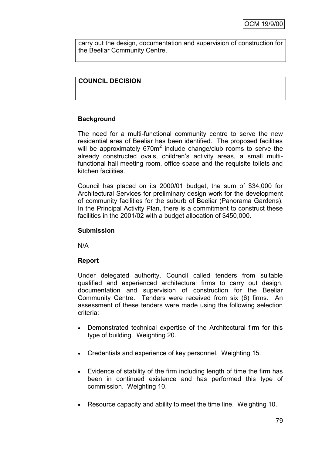carry out the design, documentation and supervision of construction for the Beeliar Community Centre.

### **COUNCIL DECISION**

### **Background**

The need for a multi-functional community centre to serve the new residential area of Beeliar has been identified. The proposed facilities will be approximately  $670m^2$  include change/club rooms to serve the already constructed ovals, children"s activity areas, a small multifunctional hall meeting room, office space and the requisite toilets and kitchen facilities.

Council has placed on its 2000/01 budget, the sum of \$34,000 for Architectural Services for preliminary design work for the development of community facilities for the suburb of Beeliar (Panorama Gardens). In the Principal Activity Plan, there is a commitment to construct these facilities in the 2001/02 with a budget allocation of \$450,000.

#### **Submission**

N/A

#### **Report**

Under delegated authority, Council called tenders from suitable qualified and experienced architectural firms to carry out design, documentation and supervision of construction for the Beeliar Community Centre. Tenders were received from six (6) firms. An assessment of these tenders were made using the following selection criteria:

- Demonstrated technical expertise of the Architectural firm for this type of building. Weighting 20.
- Credentials and experience of key personnel. Weighting 15.
- Evidence of stability of the firm including length of time the firm has been in continued existence and has performed this type of commission. Weighting 10.
- Resource capacity and ability to meet the time line. Weighting 10.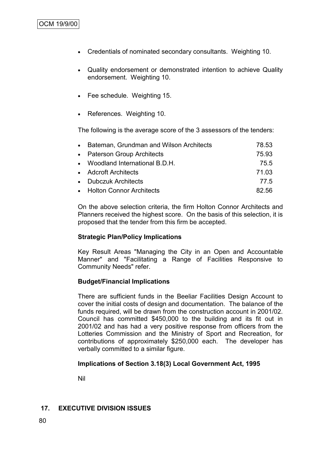## OCM 19/9/00

- Credentials of nominated secondary consultants. Weighting 10.
- Quality endorsement or demonstrated intention to achieve Quality endorsement. Weighting 10.
- Fee schedule. Weighting 15.
- References. Weighting 10.

The following is the average score of the 3 assessors of the tenders:

| • Bateman, Grundman and Wilson Architects | 78.53 |
|-------------------------------------------|-------|
| • Paterson Group Architects               | 75.93 |
| • Woodland International B.D.H.           | 75.5  |
| • Adcroft Architects                      | 71.03 |
| • Dubczuk Architects                      | 77.5  |
| • Holton Connor Architects                | 82.56 |

On the above selection criteria, the firm Holton Connor Architects and Planners received the highest score. On the basis of this selection, it is proposed that the tender from this firm be accepted.

#### **Strategic Plan/Policy Implications**

Key Result Areas "Managing the City in an Open and Accountable Manner" and "Facilitating a Range of Facilities Responsive to Community Needs" refer.

#### **Budget/Financial Implications**

There are sufficient funds in the Beeliar Facilities Design Account to cover the initial costs of design and documentation. The balance of the funds required, will be drawn from the construction account in 2001/02. Council has committed \$450,000 to the building and its fit out in 2001/02 and has had a very positive response from officers from the Lotteries Commission and the Ministry of Sport and Recreation, for contributions of approximately \$250,000 each. The developer has verbally committed to a similar figure.

#### **Implications of Section 3.18(3) Local Government Act, 1995**

Nil

#### **17. EXECUTIVE DIVISION ISSUES**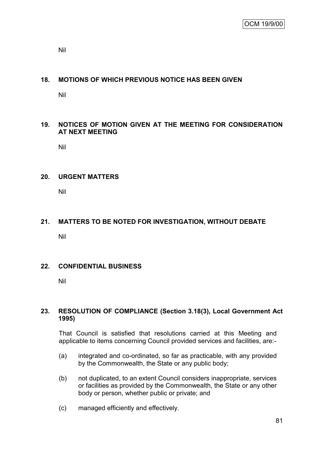Nil

### **18. MOTIONS OF WHICH PREVIOUS NOTICE HAS BEEN GIVEN**

Nil

### **19. NOTICES OF MOTION GIVEN AT THE MEETING FOR CONSIDERATION AT NEXT MEETING**

Nil

#### **20. URGENT MATTERS**

Nil

## **21. MATTERS TO BE NOTED FOR INVESTIGATION, WITHOUT DEBATE**

Nil

### **22. CONFIDENTIAL BUSINESS**

Nil

#### **23. RESOLUTION OF COMPLIANCE (Section 3.18(3), Local Government Act 1995)**

That Council is satisfied that resolutions carried at this Meeting and applicable to items concerning Council provided services and facilities, are:-

- (a) integrated and co-ordinated, so far as practicable, with any provided by the Commonwealth, the State or any public body;
- (b) not duplicated, to an extent Council considers inappropriate, services or facilities as provided by the Commonwealth, the State or any other body or person, whether public or private; and
- (c) managed efficiently and effectively.